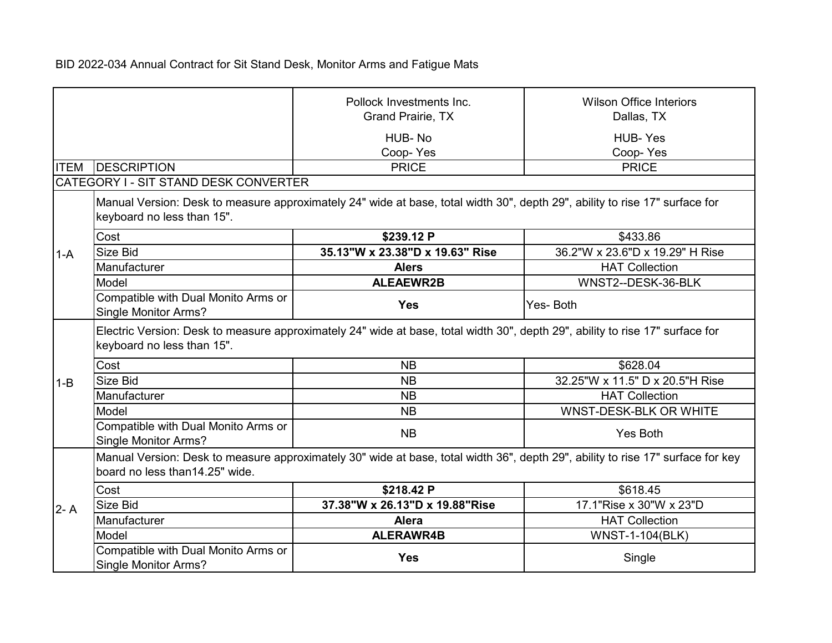|             |                                                                                                                                                                   | Pollock Investments Inc.<br><b>Grand Prairie, TX</b>                                                                        | <b>Wilson Office Interiors</b><br>Dallas, TX |
|-------------|-------------------------------------------------------------------------------------------------------------------------------------------------------------------|-----------------------------------------------------------------------------------------------------------------------------|----------------------------------------------|
|             |                                                                                                                                                                   | HUB-No<br>Coop-Yes                                                                                                          | <b>HUB-Yes</b><br>Coop-Yes                   |
| <b>ITEM</b> | <b>DESCRIPTION</b>                                                                                                                                                | <b>PRICE</b>                                                                                                                | <b>PRICE</b>                                 |
|             | CATEGORY I - SIT STAND DESK CONVERTER                                                                                                                             |                                                                                                                             |                                              |
|             | keyboard no less than 15".                                                                                                                                        | Manual Version: Desk to measure approximately 24" wide at base, total width 30", depth 29", ability to rise 17" surface for |                                              |
|             | Cost                                                                                                                                                              | \$239.12 P                                                                                                                  | \$433.86                                     |
| $1-A$       | Size Bid                                                                                                                                                          | 35.13"W x 23.38"D x 19.63" Rise                                                                                             | 36.2"W x 23.6"D x 19.29" H Rise              |
|             | Manufacturer                                                                                                                                                      | <b>Alers</b>                                                                                                                | <b>HAT Collection</b>                        |
|             | Model                                                                                                                                                             | <b>ALEAEWR2B</b>                                                                                                            | WNST2--DESK-36-BLK                           |
|             | Compatible with Dual Monito Arms or<br>Single Monitor Arms?                                                                                                       | <b>Yes</b>                                                                                                                  | Yes-Both                                     |
|             | Electric Version: Desk to measure approximately 24" wide at base, total width 30", depth 29", ability to rise 17" surface for<br>keyboard no less than 15".       |                                                                                                                             |                                              |
|             | Cost                                                                                                                                                              | <b>NB</b>                                                                                                                   | \$628.04                                     |
| $1 - B$     | Size Bid                                                                                                                                                          | <b>NB</b>                                                                                                                   | 32.25"W x 11.5" D x 20.5"H Rise              |
|             | Manufacturer                                                                                                                                                      | <b>NB</b>                                                                                                                   | <b>HAT Collection</b>                        |
|             | Model                                                                                                                                                             | <b>NB</b>                                                                                                                   | WNST-DESK-BLK OR WHITE                       |
|             | Compatible with Dual Monito Arms or<br><b>Single Monitor Arms?</b>                                                                                                | <b>NB</b>                                                                                                                   | Yes Both                                     |
|             | Manual Version: Desk to measure approximately 30" wide at base, total width 36", depth 29", ability to rise 17" surface for key<br>board no less than14.25" wide. |                                                                                                                             |                                              |
|             | Cost                                                                                                                                                              | \$218.42 P                                                                                                                  | \$618.45                                     |
| $2 - A$     | Size Bid                                                                                                                                                          | 37.38"W x 26.13"D x 19.88"Rise                                                                                              | 17.1"Rise x 30"W x 23"D                      |
|             | Manufacturer                                                                                                                                                      | <b>Alera</b>                                                                                                                | <b>HAT Collection</b>                        |
|             | Model                                                                                                                                                             | <b>ALERAWR4B</b>                                                                                                            | <b>WNST-1-104(BLK)</b>                       |
|             | Compatible with Dual Monito Arms or<br>Single Monitor Arms?                                                                                                       | <b>Yes</b>                                                                                                                  | Single                                       |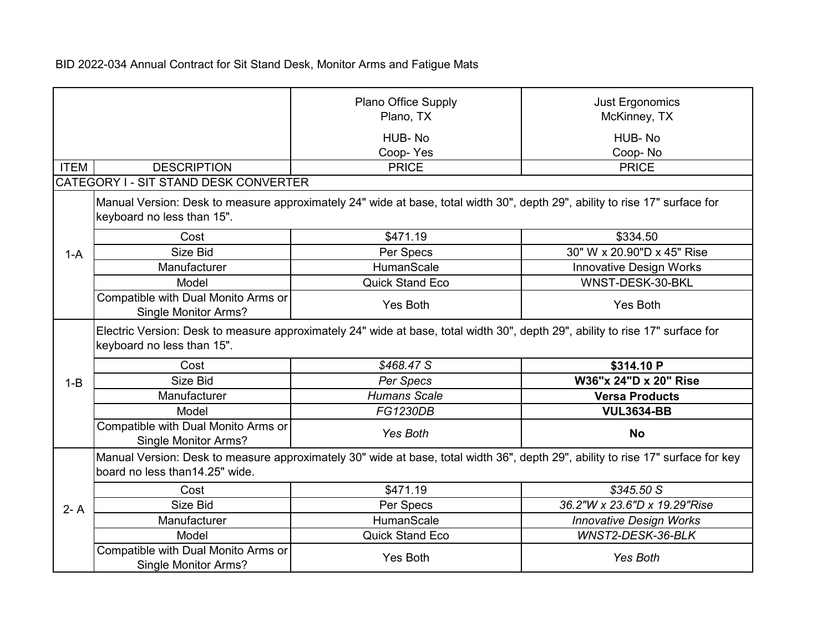|             |                                                                                                                                                             | Plano Office Supply<br>Plano, TX<br>HUB-No<br>Coop-Yes                                                                          | <b>Just Ergonomics</b><br>McKinney, TX<br>HUB-No<br>Coop-No |
|-------------|-------------------------------------------------------------------------------------------------------------------------------------------------------------|---------------------------------------------------------------------------------------------------------------------------------|-------------------------------------------------------------|
| <b>ITEM</b> | <b>DESCRIPTION</b>                                                                                                                                          | <b>PRICE</b>                                                                                                                    | <b>PRICE</b>                                                |
|             | CATEGORY I - SIT STAND DESK CONVERTER<br>keyboard no less than 15".                                                                                         | Manual Version: Desk to measure approximately 24" wide at base, total width 30", depth 29", ability to rise 17" surface for     |                                                             |
|             | Cost                                                                                                                                                        | \$471.19                                                                                                                        | \$334.50                                                    |
| $1-A$       | Size Bid                                                                                                                                                    | Per Specs                                                                                                                       | 30" W x 20.90"D x 45" Rise                                  |
|             | Manufacturer                                                                                                                                                | HumanScale                                                                                                                      | Innovative Design Works                                     |
|             | Model                                                                                                                                                       | <b>Quick Stand Eco</b>                                                                                                          | WNST-DESK-30-BKL                                            |
|             | Compatible with Dual Monito Arms or<br><b>Single Monitor Arms?</b>                                                                                          | Yes Both                                                                                                                        | Yes Both                                                    |
|             | Electric Version: Desk to measure approximately 24" wide at base, total width 30", depth 29", ability to rise 17" surface for<br>keyboard no less than 15". |                                                                                                                                 |                                                             |
|             | Cost                                                                                                                                                        | \$468.47 S                                                                                                                      | \$314.10 P                                                  |
| $1 - B$     | Size Bid                                                                                                                                                    | Per Specs                                                                                                                       | W36"x 24"D x 20" Rise                                       |
|             | Manufacturer                                                                                                                                                | <b>Humans Scale</b>                                                                                                             | <b>Versa Products</b>                                       |
|             | Model                                                                                                                                                       | <b>FG1230DB</b>                                                                                                                 | <b>VUL3634-BB</b>                                           |
|             | Compatible with Dual Monito Arms or                                                                                                                         | Yes Both                                                                                                                        | <b>No</b>                                                   |
|             | Single Monitor Arms?                                                                                                                                        |                                                                                                                                 |                                                             |
|             | board no less than14.25" wide.                                                                                                                              | Manual Version: Desk to measure approximately 30" wide at base, total width 36", depth 29", ability to rise 17" surface for key |                                                             |
|             | Cost                                                                                                                                                        | \$471.19                                                                                                                        | \$345.50 S                                                  |
| $2 - A$     | Size Bid                                                                                                                                                    | Per Specs                                                                                                                       | 36.2"W x 23.6"D x 19.29"Rise                                |
|             | Manufacturer                                                                                                                                                | HumanScale                                                                                                                      | <b>Innovative Design Works</b>                              |
|             | Model                                                                                                                                                       | <b>Quick Stand Eco</b>                                                                                                          | WNST2-DESK-36-BLK                                           |
|             | Compatible with Dual Monito Arms or<br>Single Monitor Arms?                                                                                                 | Yes Both                                                                                                                        | <b>Yes Both</b>                                             |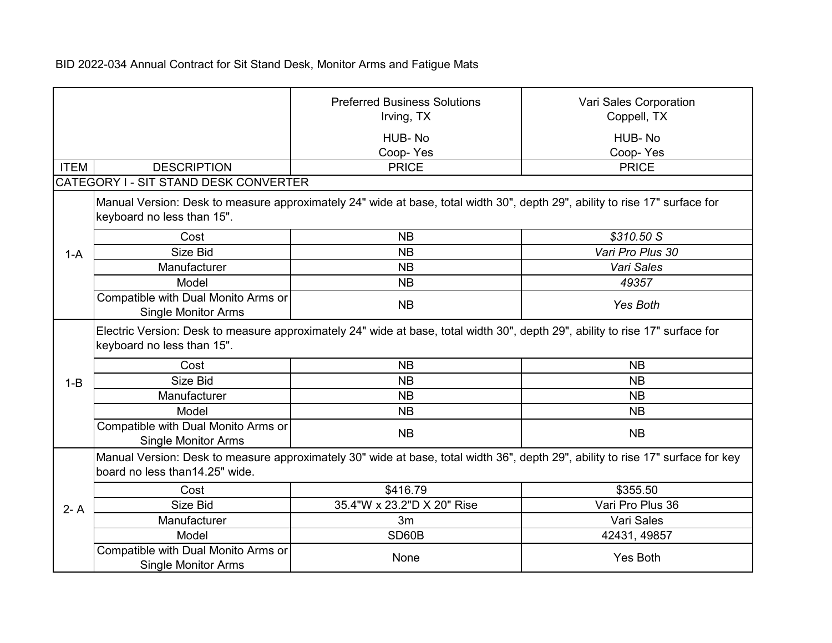|             |                                                                                                                                                             | <b>Preferred Business Solutions</b><br>Irving, TX<br>HUB-No<br>Coop-Yes                                                         | Vari Sales Corporation<br>Coppell, TX<br>HUB-No<br>Coop-Yes |
|-------------|-------------------------------------------------------------------------------------------------------------------------------------------------------------|---------------------------------------------------------------------------------------------------------------------------------|-------------------------------------------------------------|
| <b>ITEM</b> | <b>DESCRIPTION</b>                                                                                                                                          | <b>PRICE</b>                                                                                                                    | <b>PRICE</b>                                                |
|             | CATEGORY I - SIT STAND DESK CONVERTER                                                                                                                       |                                                                                                                                 |                                                             |
|             | keyboard no less than 15".                                                                                                                                  | Manual Version: Desk to measure approximately 24" wide at base, total width 30", depth 29", ability to rise 17" surface for     |                                                             |
|             | Cost                                                                                                                                                        | <b>NB</b>                                                                                                                       | \$310.50 S                                                  |
| $1-A$       | Size Bid                                                                                                                                                    | <b>NB</b>                                                                                                                       | Vari Pro Plus 30                                            |
|             | Manufacturer                                                                                                                                                | <b>NB</b>                                                                                                                       | Vari Sales                                                  |
|             | Model                                                                                                                                                       | <b>NB</b>                                                                                                                       | 49357                                                       |
|             | Compatible with Dual Monito Arms or<br><b>Single Monitor Arms</b>                                                                                           | <b>NB</b>                                                                                                                       | Yes Both                                                    |
|             | Electric Version: Desk to measure approximately 24" wide at base, total width 30", depth 29", ability to rise 17" surface for<br>keyboard no less than 15". |                                                                                                                                 |                                                             |
|             | Cost                                                                                                                                                        | <b>NB</b>                                                                                                                       | <b>NB</b>                                                   |
| $1 - B$     | Size Bid                                                                                                                                                    | <b>NB</b>                                                                                                                       | <b>NB</b>                                                   |
|             | Manufacturer                                                                                                                                                | <b>NB</b>                                                                                                                       | <b>NB</b>                                                   |
|             | Model                                                                                                                                                       | <b>NB</b>                                                                                                                       | <b>NB</b>                                                   |
|             | Compatible with Dual Monito Arms or<br><b>Single Monitor Arms</b>                                                                                           | <b>NB</b>                                                                                                                       | <b>NB</b>                                                   |
|             | board no less than14.25" wide.                                                                                                                              | Manual Version: Desk to measure approximately 30" wide at base, total width 36", depth 29", ability to rise 17" surface for key |                                                             |
|             | Cost                                                                                                                                                        | \$416.79                                                                                                                        | \$355.50                                                    |
| $2 - A$     | Size Bid                                                                                                                                                    | 35.4"W x 23.2"D X 20" Rise                                                                                                      | Vari Pro Plus 36                                            |
|             | Manufacturer                                                                                                                                                | 3m                                                                                                                              | Vari Sales                                                  |
|             | Model                                                                                                                                                       | SD60B                                                                                                                           | 42431, 49857                                                |
|             | Compatible with Dual Monito Arms or<br><b>Single Monitor Arms</b>                                                                                           | None                                                                                                                            | <b>Yes Both</b>                                             |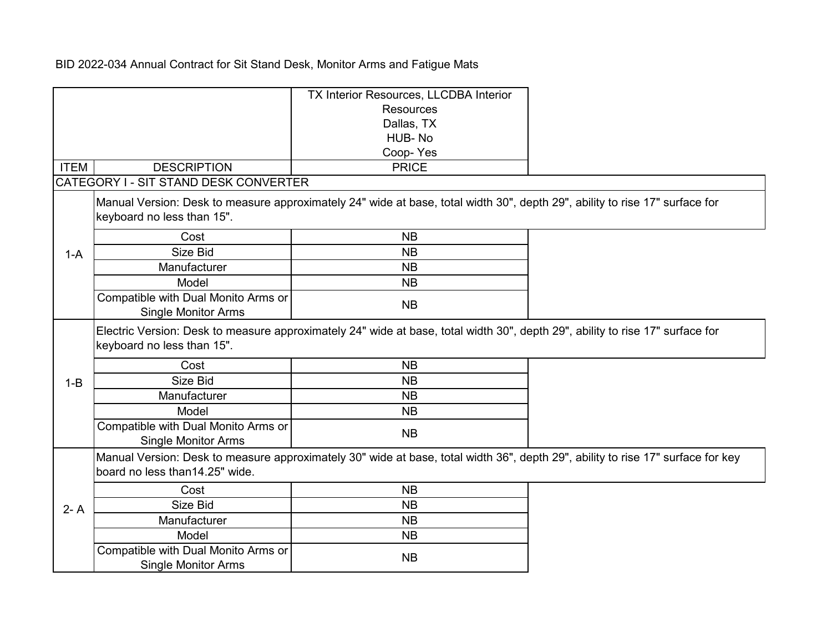|             |                                                                   | TX Interior Resources, LLCDBA Interior                                                                                          |  |
|-------------|-------------------------------------------------------------------|---------------------------------------------------------------------------------------------------------------------------------|--|
|             |                                                                   | <b>Resources</b>                                                                                                                |  |
|             |                                                                   | Dallas, TX                                                                                                                      |  |
|             |                                                                   | HUB-No                                                                                                                          |  |
|             |                                                                   | Coop-Yes                                                                                                                        |  |
| <b>ITEM</b> | <b>DESCRIPTION</b>                                                | <b>PRICE</b>                                                                                                                    |  |
|             | CATEGORY I - SIT STAND DESK CONVERTER                             |                                                                                                                                 |  |
|             | keyboard no less than 15".                                        | Manual Version: Desk to measure approximately 24" wide at base, total width 30", depth 29", ability to rise 17" surface for     |  |
|             | Cost                                                              | <b>NB</b>                                                                                                                       |  |
| $1-A$       | Size Bid                                                          | <b>NB</b>                                                                                                                       |  |
|             | Manufacturer                                                      | <b>NB</b>                                                                                                                       |  |
|             | Model                                                             | <b>NB</b>                                                                                                                       |  |
|             | Compatible with Dual Monito Arms or<br><b>Single Monitor Arms</b> | <b>NB</b>                                                                                                                       |  |
|             | keyboard no less than 15".                                        | Electric Version: Desk to measure approximately 24" wide at base, total width 30", depth 29", ability to rise 17" surface for   |  |
|             | Cost                                                              | <b>NB</b>                                                                                                                       |  |
| $1 - B$     | Size Bid                                                          | <b>NB</b>                                                                                                                       |  |
|             | Manufacturer                                                      | <b>NB</b>                                                                                                                       |  |
|             | Model                                                             | <b>NB</b>                                                                                                                       |  |
|             | Compatible with Dual Monito Arms or                               | <b>NB</b>                                                                                                                       |  |
|             | <b>Single Monitor Arms</b>                                        | Manual Version: Desk to measure approximately 30" wide at base, total width 36", depth 29", ability to rise 17" surface for key |  |
|             | board no less than14.25" wide.                                    |                                                                                                                                 |  |
|             | Cost                                                              | <b>NB</b>                                                                                                                       |  |
| $2 - A$     | Size Bid                                                          | <b>NB</b>                                                                                                                       |  |
|             | Manufacturer                                                      | <b>NB</b>                                                                                                                       |  |
|             | Model                                                             | <b>NB</b>                                                                                                                       |  |
|             | Compatible with Dual Monito Arms or<br><b>Single Monitor Arms</b> | <b>NB</b>                                                                                                                       |  |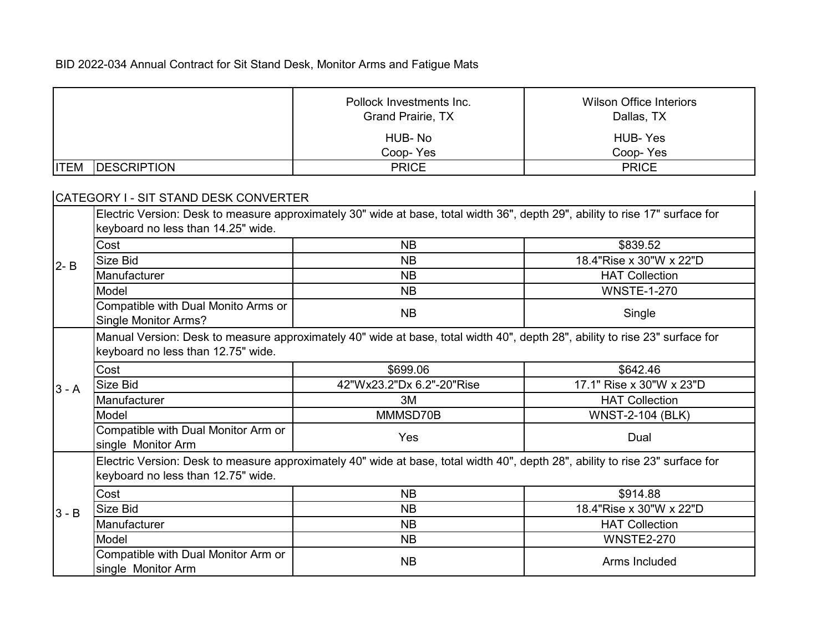|             |                                                                                                                                                                     | Pollock Investments Inc.<br><b>Grand Prairie, TX</b>                                                                          | <b>Wilson Office Interiors</b><br>Dallas, TX |
|-------------|---------------------------------------------------------------------------------------------------------------------------------------------------------------------|-------------------------------------------------------------------------------------------------------------------------------|----------------------------------------------|
|             |                                                                                                                                                                     | HUB-No<br>Coop-Yes                                                                                                            | <b>HUB-Yes</b><br>Coop-Yes                   |
| <b>ITEM</b> | <b>DESCRIPTION</b>                                                                                                                                                  | <b>PRICE</b>                                                                                                                  | <b>PRICE</b>                                 |
|             | CATEGORY I - SIT STAND DESK CONVERTER                                                                                                                               |                                                                                                                               |                                              |
|             | keyboard no less than 14.25" wide.                                                                                                                                  | Electric Version: Desk to measure approximately 30" wide at base, total width 36", depth 29", ability to rise 17" surface for |                                              |
|             | Cost                                                                                                                                                                | <b>NB</b>                                                                                                                     | \$839.52                                     |
| $2 - B$     | Size Bid                                                                                                                                                            | <b>NB</b>                                                                                                                     | 18.4"Rise x 30"W x 22"D                      |
|             | Manufacturer                                                                                                                                                        | <b>NB</b>                                                                                                                     | <b>HAT Collection</b>                        |
|             | Model                                                                                                                                                               | <b>NB</b>                                                                                                                     | <b>WNSTE-1-270</b>                           |
|             | Compatible with Dual Monito Arms or<br><b>Single Monitor Arms?</b>                                                                                                  | <b>NB</b>                                                                                                                     | Single                                       |
|             | Manual Version: Desk to measure approximately 40" wide at base, total width 40", depth 28", ability to rise 23" surface for<br>keyboard no less than 12.75" wide.   |                                                                                                                               |                                              |
|             | Cost                                                                                                                                                                | \$699.06                                                                                                                      | \$642.46                                     |
| $3 - A$     | Size Bid                                                                                                                                                            | 42"Wx23.2"Dx 6.2"-20"Rise                                                                                                     | 17.1" Rise x 30"W x 23"D                     |
|             | Manufacturer                                                                                                                                                        | 3M                                                                                                                            | <b>HAT Collection</b>                        |
|             | Model                                                                                                                                                               | MMMSD70B                                                                                                                      | <b>WNST-2-104 (BLK)</b>                      |
|             | Compatible with Dual Monitor Arm or<br>single Monitor Arm                                                                                                           | Yes                                                                                                                           | Dual                                         |
|             | Electric Version: Desk to measure approximately 40" wide at base, total width 40", depth 28", ability to rise 23" surface for<br>keyboard no less than 12.75" wide. |                                                                                                                               |                                              |
|             | Cost                                                                                                                                                                | <b>NB</b>                                                                                                                     | \$914.88                                     |
| $3 - B$     | Size Bid                                                                                                                                                            | <b>NB</b>                                                                                                                     | 18.4"Rise x 30"W x 22"D                      |
|             | Manufacturer                                                                                                                                                        | <b>NB</b>                                                                                                                     | <b>HAT Collection</b>                        |
|             | Model                                                                                                                                                               | <b>NB</b>                                                                                                                     | <b>WNSTE2-270</b>                            |
|             | Compatible with Dual Monitor Arm or<br>single Monitor Arm                                                                                                           | <b>NB</b>                                                                                                                     | Arms Included                                |

<u> 1989 - Jan Barat, prima politik (</u>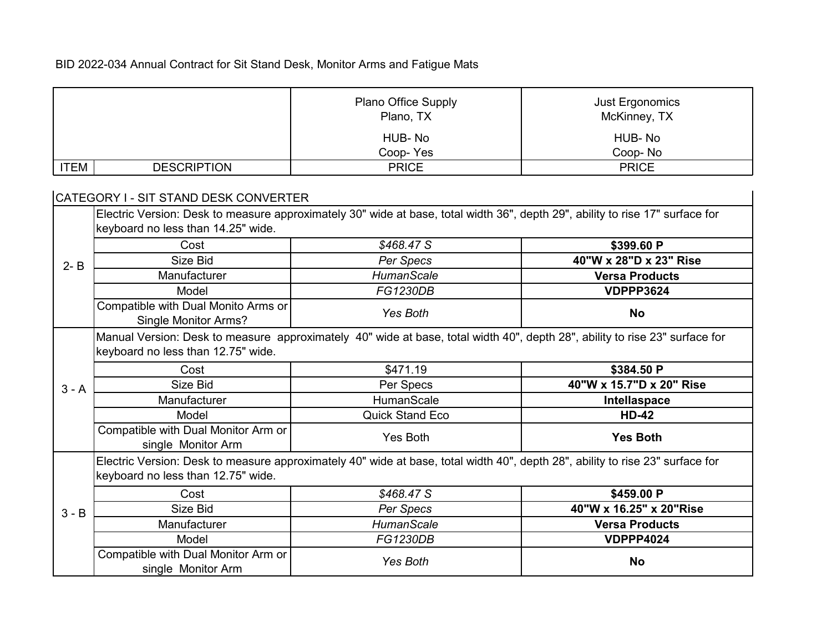|             |                                                                                                                                                                   | Plano Office Supply<br>Plano, TX                                                                                              | Just Ergonomics<br>McKinney, TX |  |  |
|-------------|-------------------------------------------------------------------------------------------------------------------------------------------------------------------|-------------------------------------------------------------------------------------------------------------------------------|---------------------------------|--|--|
|             |                                                                                                                                                                   | HUB-No<br>Coop-Yes                                                                                                            | HUB-No<br>Coop-No               |  |  |
| <b>ITEM</b> | <b>DESCRIPTION</b>                                                                                                                                                | <b>PRICE</b>                                                                                                                  | <b>PRICE</b>                    |  |  |
|             | CATEGORY I - SIT STAND DESK CONVERTER                                                                                                                             |                                                                                                                               |                                 |  |  |
|             | keyboard no less than 14.25" wide.                                                                                                                                | Electric Version: Desk to measure approximately 30" wide at base, total width 36", depth 29", ability to rise 17" surface for |                                 |  |  |
|             | Cost                                                                                                                                                              | \$468.47 S                                                                                                                    | \$399.60 P                      |  |  |
| $2 - B$     | Size Bid                                                                                                                                                          | Per Specs                                                                                                                     | 40"W x 28"D x 23" Rise          |  |  |
|             | Manufacturer                                                                                                                                                      | <b>HumanScale</b>                                                                                                             | <b>Versa Products</b>           |  |  |
|             | Model                                                                                                                                                             | FG1230DB                                                                                                                      | <b>VDPPP3624</b>                |  |  |
|             | Compatible with Dual Monito Arms or<br><b>Single Monitor Arms?</b>                                                                                                | Yes Both                                                                                                                      | <b>No</b>                       |  |  |
|             | Manual Version: Desk to measure approximately 40" wide at base, total width 40", depth 28", ability to rise 23" surface for<br>keyboard no less than 12.75" wide. |                                                                                                                               |                                 |  |  |
|             | Cost                                                                                                                                                              | \$471.19                                                                                                                      | \$384.50 P                      |  |  |
| $3 - A$     | Size Bid                                                                                                                                                          | Per Specs                                                                                                                     | 40"W x 15.7"D x 20" Rise        |  |  |
|             | Manufacturer                                                                                                                                                      | <b>HumanScale</b>                                                                                                             | Intellaspace                    |  |  |
|             | Model                                                                                                                                                             | <b>Quick Stand Eco</b>                                                                                                        | <b>HD-42</b>                    |  |  |
|             | Compatible with Dual Monitor Arm or<br>single Monitor Arm                                                                                                         | Yes Both                                                                                                                      | <b>Yes Both</b>                 |  |  |
|             | keyboard no less than 12.75" wide.                                                                                                                                | Electric Version: Desk to measure approximately 40" wide at base, total width 40", depth 28", ability to rise 23" surface for |                                 |  |  |
|             | Cost                                                                                                                                                              | \$468.47 S                                                                                                                    | \$459.00 P                      |  |  |
| $3 - B$     | Size Bid                                                                                                                                                          | Per Specs                                                                                                                     | 40"W x 16.25" x 20"Rise         |  |  |
|             | Manufacturer                                                                                                                                                      | <b>HumanScale</b>                                                                                                             | <b>Versa Products</b>           |  |  |
|             | Model                                                                                                                                                             | FG1230DB                                                                                                                      | <b>VDPPP4024</b>                |  |  |
|             | Compatible with Dual Monitor Arm or<br>single Monitor Arm                                                                                                         | Yes Both                                                                                                                      | <b>No</b>                       |  |  |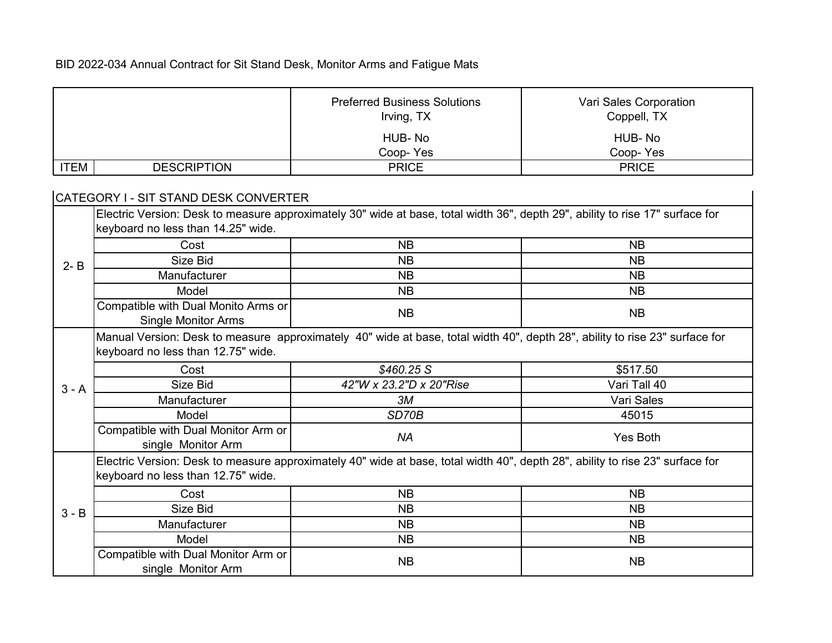|             |                                                                                                                             | <b>Preferred Business Solutions</b>                                                                                           | Vari Sales Corporation |  |
|-------------|-----------------------------------------------------------------------------------------------------------------------------|-------------------------------------------------------------------------------------------------------------------------------|------------------------|--|
|             |                                                                                                                             | Irving, TX                                                                                                                    | Coppell, TX            |  |
|             |                                                                                                                             |                                                                                                                               |                        |  |
|             |                                                                                                                             | HUB-No                                                                                                                        | HUB-No                 |  |
|             |                                                                                                                             | Coop-Yes                                                                                                                      | Coop-Yes               |  |
| <b>ITEM</b> | <b>DESCRIPTION</b>                                                                                                          | <b>PRICE</b>                                                                                                                  | <b>PRICE</b>           |  |
|             | CATEGORY I - SIT STAND DESK CONVERTER                                                                                       |                                                                                                                               |                        |  |
|             |                                                                                                                             | Electric Version: Desk to measure approximately 30" wide at base, total width 36", depth 29", ability to rise 17" surface for |                        |  |
|             | keyboard no less than 14.25" wide.                                                                                          |                                                                                                                               |                        |  |
|             | Cost                                                                                                                        | <b>NB</b>                                                                                                                     | <b>NB</b>              |  |
| $2 - B$     | Size Bid                                                                                                                    | <b>NB</b>                                                                                                                     | <b>NB</b>              |  |
|             | Manufacturer                                                                                                                | <b>NB</b>                                                                                                                     | <b>NB</b>              |  |
|             | Model                                                                                                                       | <b>NB</b>                                                                                                                     | <b>NB</b>              |  |
|             | Compatible with Dual Monito Arms or                                                                                         |                                                                                                                               | <b>NB</b>              |  |
|             | <b>Single Monitor Arms</b>                                                                                                  | <b>NB</b>                                                                                                                     |                        |  |
|             | Manual Version: Desk to measure approximately 40" wide at base, total width 40", depth 28", ability to rise 23" surface for |                                                                                                                               |                        |  |
|             | keyboard no less than 12.75" wide.                                                                                          |                                                                                                                               |                        |  |
|             | Cost                                                                                                                        | \$460.25 S                                                                                                                    | \$517.50               |  |
| $3 - A$     | Size Bid                                                                                                                    | 42"W x 23.2"D x 20"Rise                                                                                                       | Vari Tall 40           |  |
|             | Manufacturer                                                                                                                | 3M                                                                                                                            | Vari Sales             |  |
|             | Model                                                                                                                       | SD70B                                                                                                                         | 45015                  |  |
|             | Compatible with Dual Monitor Arm or                                                                                         | <b>NA</b>                                                                                                                     | Yes Both               |  |
|             | single Monitor Arm                                                                                                          |                                                                                                                               |                        |  |
|             |                                                                                                                             | Electric Version: Desk to measure approximately 40" wide at base, total width 40", depth 28", ability to rise 23" surface for |                        |  |
|             | keyboard no less than 12.75" wide.                                                                                          |                                                                                                                               |                        |  |
|             | Cost                                                                                                                        | <b>NB</b>                                                                                                                     | <b>NB</b>              |  |
| $3 - B$     | Size Bid                                                                                                                    | <b>NB</b>                                                                                                                     | <b>NB</b>              |  |
|             | Manufacturer                                                                                                                | <b>NB</b>                                                                                                                     | <b>NB</b>              |  |
|             | Model                                                                                                                       | <b>NB</b>                                                                                                                     | <b>NB</b>              |  |
|             | Compatible with Dual Monitor Arm or<br>single Monitor Arm                                                                   | <b>NB</b>                                                                                                                     | <b>NB</b>              |  |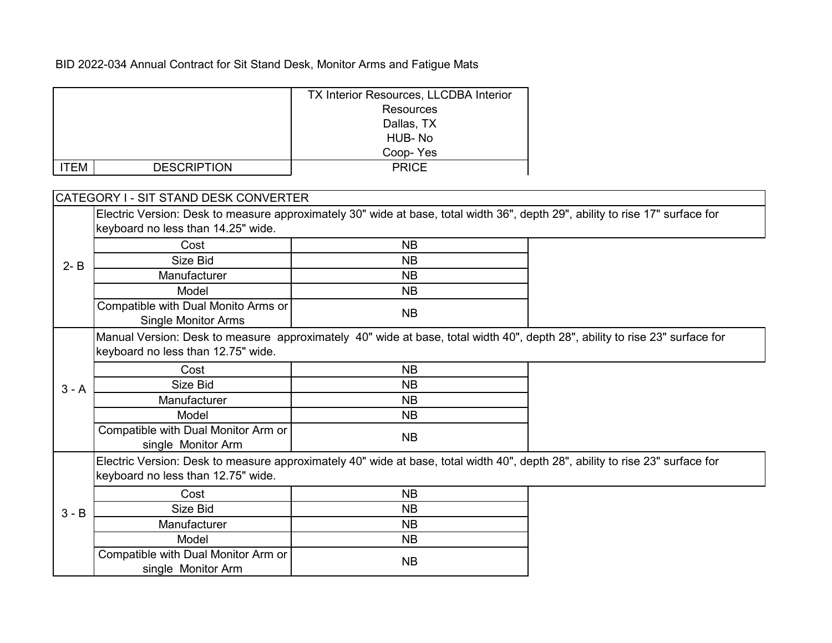|             |                                                                                                                             | <b>TX Interior Resources, LLCDBA Interior</b>                                                                                 |  |
|-------------|-----------------------------------------------------------------------------------------------------------------------------|-------------------------------------------------------------------------------------------------------------------------------|--|
|             |                                                                                                                             | <b>Resources</b>                                                                                                              |  |
|             |                                                                                                                             | Dallas, TX                                                                                                                    |  |
|             |                                                                                                                             | HUB-No                                                                                                                        |  |
|             |                                                                                                                             | Coop-Yes                                                                                                                      |  |
| <b>ITEM</b> | <b>DESCRIPTION</b>                                                                                                          | <b>PRICE</b>                                                                                                                  |  |
|             |                                                                                                                             |                                                                                                                               |  |
|             | CATEGORY I - SIT STAND DESK CONVERTER                                                                                       |                                                                                                                               |  |
|             |                                                                                                                             | Electric Version: Desk to measure approximately 30" wide at base, total width 36", depth 29", ability to rise 17" surface for |  |
|             | keyboard no less than 14.25" wide.                                                                                          |                                                                                                                               |  |
|             | Cost                                                                                                                        | <b>NB</b>                                                                                                                     |  |
| $2 - B$     | Size Bid                                                                                                                    | <b>NB</b>                                                                                                                     |  |
|             | Manufacturer                                                                                                                | <b>NB</b>                                                                                                                     |  |
|             | Model                                                                                                                       | <b>NB</b>                                                                                                                     |  |
|             | Compatible with Dual Monito Arms or                                                                                         | <b>NB</b>                                                                                                                     |  |
|             | <b>Single Monitor Arms</b>                                                                                                  |                                                                                                                               |  |
|             | Manual Version: Desk to measure approximately 40" wide at base, total width 40", depth 28", ability to rise 23" surface for |                                                                                                                               |  |
|             | keyboard no less than 12.75" wide.                                                                                          |                                                                                                                               |  |
|             | Cost                                                                                                                        | <b>NB</b>                                                                                                                     |  |
| $3 - A$     | Size Bid                                                                                                                    | <b>NB</b>                                                                                                                     |  |
|             | Manufacturer                                                                                                                | <b>NB</b>                                                                                                                     |  |
|             | Model                                                                                                                       | <b>NB</b>                                                                                                                     |  |
|             | Compatible with Dual Monitor Arm or                                                                                         |                                                                                                                               |  |
|             | single Monitor Arm                                                                                                          | <b>NB</b>                                                                                                                     |  |
|             |                                                                                                                             | Electric Version: Desk to measure approximately 40" wide at base, total width 40", depth 28", ability to rise 23" surface for |  |
| $3 - B$     | keyboard no less than 12.75" wide.                                                                                          |                                                                                                                               |  |
|             | Cost                                                                                                                        | <b>NB</b>                                                                                                                     |  |
|             | Size Bid                                                                                                                    | <b>NB</b>                                                                                                                     |  |
|             | Manufacturer                                                                                                                | <b>NB</b>                                                                                                                     |  |
|             | Model                                                                                                                       | <b>NB</b>                                                                                                                     |  |
|             | Compatible with Dual Monitor Arm or                                                                                         |                                                                                                                               |  |
|             | single Monitor Arm                                                                                                          | <b>NB</b>                                                                                                                     |  |
|             |                                                                                                                             |                                                                                                                               |  |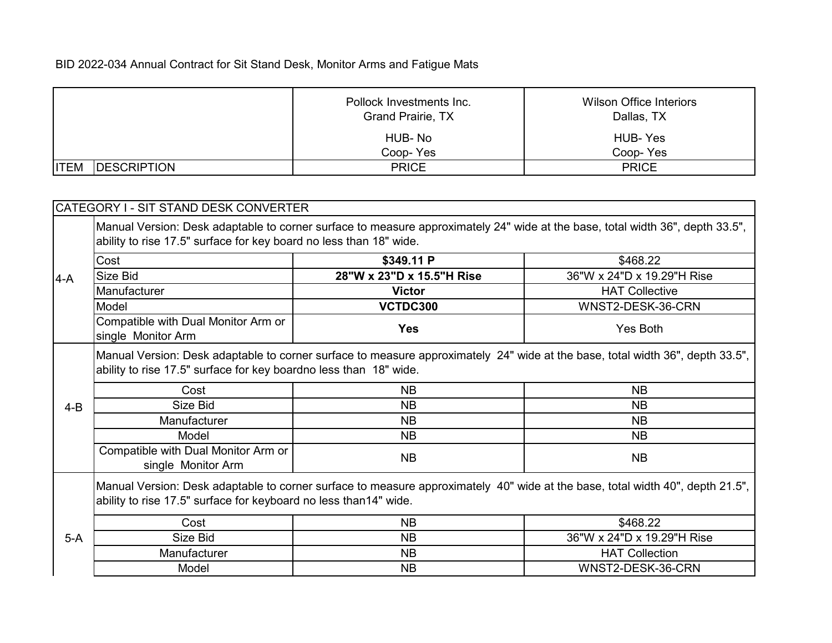|             |                     | Pollock Investments Inc.<br>Grand Prairie, TX | Wilson Office Interiors<br>Dallas, TX |
|-------------|---------------------|-----------------------------------------------|---------------------------------------|
|             |                     | HUB-No                                        | HUB-Yes                               |
|             |                     | Coop-Yes                                      | Coop-Yes                              |
| <b>ITEM</b> | <b>IDESCRIPTION</b> | <b>PRICE</b>                                  | <b>PRICE</b>                          |

|         | CATEGORY I - SIT STAND DESK CONVERTER                                                                                                                                                               |                           |                                                                                                                               |  |
|---------|-----------------------------------------------------------------------------------------------------------------------------------------------------------------------------------------------------|---------------------------|-------------------------------------------------------------------------------------------------------------------------------|--|
|         | Manual Version: Desk adaptable to corner surface to measure approximately 24" wide at the base, total width 36", depth 33.5",<br>ability to rise 17.5" surface for key board no less than 18" wide. |                           |                                                                                                                               |  |
|         | Cost                                                                                                                                                                                                | \$349.11 P                | \$468.22                                                                                                                      |  |
| $4-A$   | Size Bid                                                                                                                                                                                            | 28"W x 23"D x 15.5"H Rise | 36"W x 24"D x 19.29"H Rise                                                                                                    |  |
|         | Manufacturer                                                                                                                                                                                        | <b>Victor</b>             | <b>HAT Collective</b>                                                                                                         |  |
|         | Model                                                                                                                                                                                               | VCTDC300                  | WNST2-DESK-36-CRN                                                                                                             |  |
|         | Compatible with Dual Monitor Arm or<br>single Monitor Arm                                                                                                                                           | <b>Yes</b>                | Yes Both                                                                                                                      |  |
|         | Manual Version: Desk adaptable to corner surface to measure approximately 24" wide at the base, total width 36", depth 33.5",<br>ability to rise 17.5" surface for key boardno less than 18" wide.  |                           |                                                                                                                               |  |
|         | Cost                                                                                                                                                                                                | <b>NB</b>                 | <b>NB</b>                                                                                                                     |  |
| $4 - B$ | Size Bid                                                                                                                                                                                            | <b>NB</b>                 | <b>NB</b>                                                                                                                     |  |
|         | Manufacturer                                                                                                                                                                                        | <b>NB</b>                 | <b>NB</b>                                                                                                                     |  |
|         | Model                                                                                                                                                                                               | <b>NB</b>                 | <b>NB</b>                                                                                                                     |  |
|         | Compatible with Dual Monitor Arm or<br>single Monitor Arm                                                                                                                                           | <b>NB</b>                 | <b>NB</b>                                                                                                                     |  |
|         | ability to rise 17.5" surface for keyboard no less than14" wide.                                                                                                                                    |                           | Manual Version: Desk adaptable to corner surface to measure approximately 40" wide at the base, total width 40", depth 21.5", |  |
|         | Cost                                                                                                                                                                                                | <b>NB</b>                 | \$468.22                                                                                                                      |  |
| $5-A$   | Size Bid                                                                                                                                                                                            | <b>NB</b>                 | 36"W x 24"D x 19.29"H Rise                                                                                                    |  |
|         | Manufacturer                                                                                                                                                                                        | <b>NB</b>                 | <b>HAT Collection</b>                                                                                                         |  |
|         | Model                                                                                                                                                                                               | <b>NB</b>                 | WNST2-DESK-36-CRN                                                                                                             |  |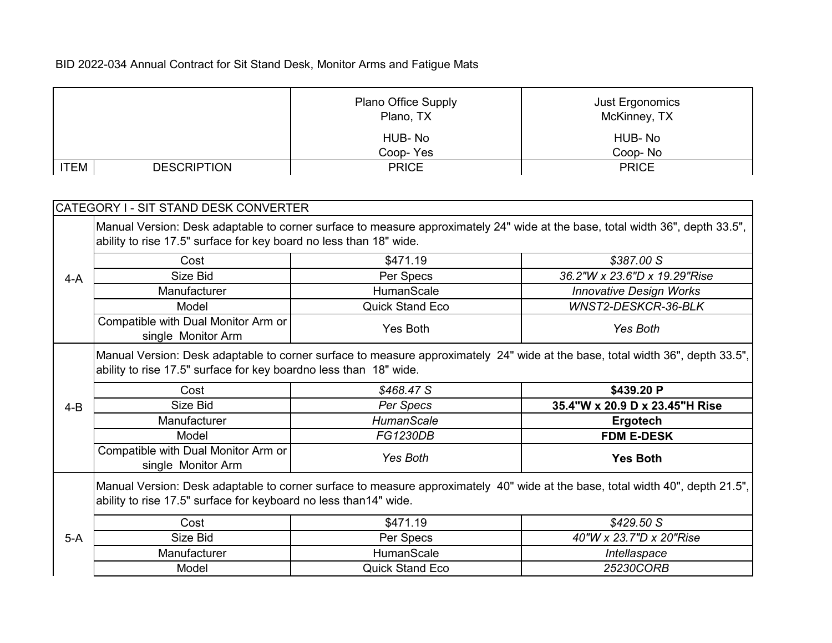|                                   | <b>Plano Office Supply</b><br>Plano, TX | Just Ergonomics<br>McKinney, TX |
|-----------------------------------|-----------------------------------------|---------------------------------|
|                                   | HUB-No                                  | HUB-No                          |
|                                   | Coop-Yes                                | Coop-No                         |
| <b>ITEM</b><br><b>DESCRIPTION</b> | <b>PRICE</b>                            | <b>PRICE</b>                    |

|         | CATEGORY I - SIT STAND DESK CONVERTER                                                                                                                                                               |                        |                                |  |
|---------|-----------------------------------------------------------------------------------------------------------------------------------------------------------------------------------------------------|------------------------|--------------------------------|--|
|         | Manual Version: Desk adaptable to corner surface to measure approximately 24" wide at the base, total width 36", depth 33.5",<br>ability to rise 17.5" surface for key board no less than 18" wide. |                        |                                |  |
|         | Cost                                                                                                                                                                                                | \$471.19               | \$387.00 S                     |  |
| $4-A$   | Size Bid                                                                                                                                                                                            | Per Specs              | 36.2"W x 23.6"D x 19.29"Rise   |  |
|         | Manufacturer                                                                                                                                                                                        | <b>HumanScale</b>      | <b>Innovative Design Works</b> |  |
|         | Model                                                                                                                                                                                               | <b>Quick Stand Eco</b> | WNST2-DESKCR-36-BLK            |  |
|         | Compatible with Dual Monitor Arm or<br>single Monitor Arm                                                                                                                                           | Yes Both               | Yes Both                       |  |
|         | Manual Version: Desk adaptable to corner surface to measure approximately 24" wide at the base, total width 36", depth 33.5",<br>ability to rise 17.5" surface for key boardno less than 18" wide.  |                        |                                |  |
|         | Cost                                                                                                                                                                                                | \$468.47 S             | \$439.20 P                     |  |
| $4 - B$ | Size Bid                                                                                                                                                                                            | Per Specs              | 35.4"W x 20.9 D x 23.45"H Rise |  |
|         | Manufacturer                                                                                                                                                                                        | <b>HumanScale</b>      | Ergotech                       |  |
|         | Model                                                                                                                                                                                               | <b>FG1230DB</b>        | <b>FDM E-DESK</b>              |  |
|         | Compatible with Dual Monitor Arm or<br>single Monitor Arm                                                                                                                                           | Yes Both               | <b>Yes Both</b>                |  |
|         | Manual Version: Desk adaptable to corner surface to measure approximately 40" wide at the base, total width 40", depth 21.5",<br>ability to rise 17.5" surface for keyboard no less than14" wide.   |                        |                                |  |
|         | Cost                                                                                                                                                                                                | \$471.19               | \$429.50 S                     |  |
| $5-A$   | Size Bid                                                                                                                                                                                            | Per Specs              | 40"W x 23.7"D x 20"Rise        |  |
|         | Manufacturer                                                                                                                                                                                        | HumanScale             | Intellaspace                   |  |
|         | Model                                                                                                                                                                                               | <b>Quick Stand Eco</b> | 25230CORB                      |  |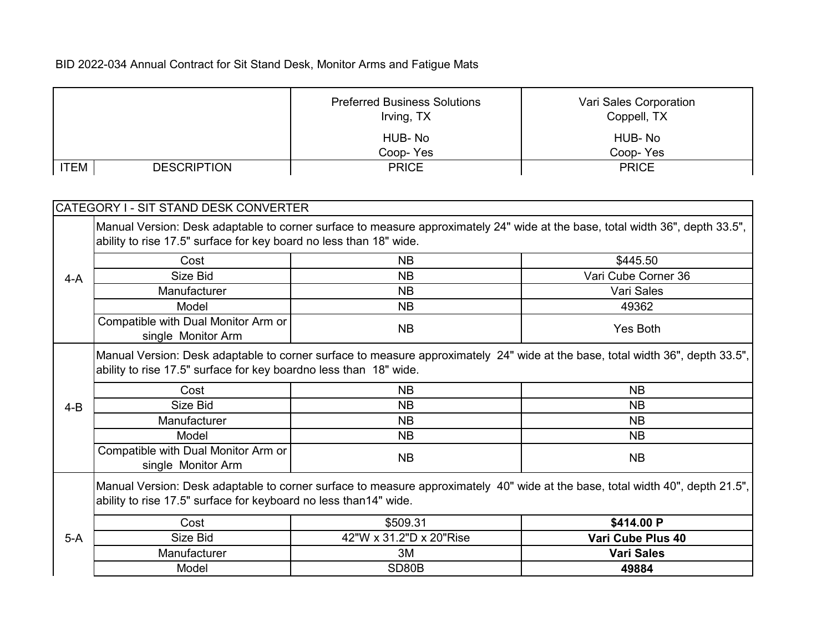|             |                                                                    | <b>Preferred Business Solutions</b>                                                                                           | Vari Sales Corporation |
|-------------|--------------------------------------------------------------------|-------------------------------------------------------------------------------------------------------------------------------|------------------------|
|             |                                                                    | Irving, TX                                                                                                                    | Coppell, TX            |
|             |                                                                    | HUB-No                                                                                                                        | HUB-No                 |
|             |                                                                    | Coop-Yes                                                                                                                      | Coop-Yes               |
| <b>ITEM</b> | <b>DESCRIPTION</b>                                                 | <b>PRICE</b>                                                                                                                  | <b>PRICE</b>           |
|             |                                                                    |                                                                                                                               |                        |
|             | CATEGORY I - SIT STAND DESK CONVERTER                              |                                                                                                                               |                        |
|             |                                                                    |                                                                                                                               |                        |
|             |                                                                    | Manual Version: Desk adaptable to corner surface to measure approximately 24" wide at the base, total width 36", depth 33.5", |                        |
|             | ability to rise 17.5" surface for key board no less than 18" wide. |                                                                                                                               |                        |
|             | Cost                                                               | <b>NB</b>                                                                                                                     | \$445.50               |
| $4-A$       | Size Bid                                                           | <b>NB</b>                                                                                                                     | Vari Cube Corner 36    |
|             | Manufacturer                                                       | <b>NB</b>                                                                                                                     | Vari Sales             |
|             | Model                                                              | <b>NB</b>                                                                                                                     | 49362                  |
|             | Compatible with Dual Monitor Arm or                                |                                                                                                                               |                        |
|             | single Monitor Arm                                                 | <b>NB</b>                                                                                                                     | Yes Both               |
|             |                                                                    | Manual Version: Desk adaptable to corner surface to measure approximately 24" wide at the base, total width 36", depth 33.5", |                        |
|             | ability to rise 17.5" surface for key boardno less than 18" wide.  |                                                                                                                               |                        |
|             |                                                                    |                                                                                                                               |                        |
|             | Cost                                                               | <b>NB</b>                                                                                                                     | <b>NB</b>              |
| $4 - B$     | Size Bid                                                           | <b>NB</b>                                                                                                                     | <b>NB</b>              |
|             | Manufacturer                                                       | <b>NB</b>                                                                                                                     | <b>NB</b>              |
|             | Model                                                              | <b>NB</b>                                                                                                                     | <b>NB</b>              |
|             | Compatible with Dual Monitor Arm or                                | <b>NB</b>                                                                                                                     | <b>NB</b>              |
|             | single Monitor Arm                                                 |                                                                                                                               |                        |
|             |                                                                    | Manual Version: Desk adaptable to corner surface to measure approximately 40" wide at the base, total width 40", depth 21.5", |                        |
|             | ability to rise 17.5" surface for keyboard no less than14" wide.   |                                                                                                                               |                        |
|             | Cost                                                               | \$509.31                                                                                                                      | \$414.00 P             |
| $5-A$       | Size Bid                                                           | 42"W x 31.2"D x 20"Rise                                                                                                       | Vari Cube Plus 40      |
|             | Manufacturer                                                       | 3M                                                                                                                            | <b>Vari Sales</b>      |
|             | Model                                                              | SD80B                                                                                                                         | 49884                  |
|             |                                                                    |                                                                                                                               |                        |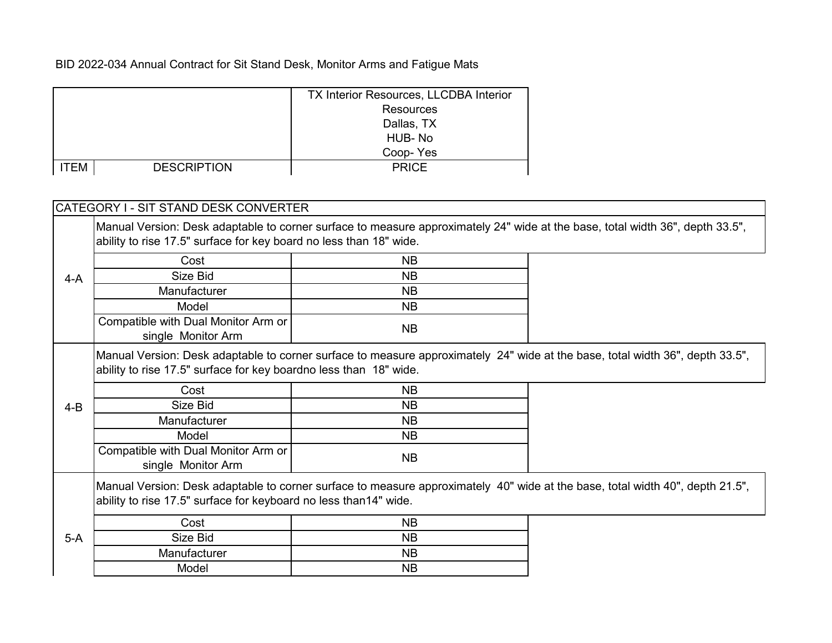|             |                    | <b>TX Interior Resources, LLCDBA Interior</b> |
|-------------|--------------------|-----------------------------------------------|
|             |                    | <b>Resources</b>                              |
|             |                    | Dallas, TX                                    |
|             |                    | HUB-No                                        |
|             |                    | Coop-Yes                                      |
| <b>ITEM</b> | <b>DESCRIPTION</b> | <b>PRICE</b>                                  |

| CATEGORY I - SIT STAND DESK CONVERTER                     |                     |                                                                                                                                                                                                                                                                                                                                                                                                                                                                                                                                                                                                                |
|-----------------------------------------------------------|---------------------|----------------------------------------------------------------------------------------------------------------------------------------------------------------------------------------------------------------------------------------------------------------------------------------------------------------------------------------------------------------------------------------------------------------------------------------------------------------------------------------------------------------------------------------------------------------------------------------------------------------|
|                                                           |                     |                                                                                                                                                                                                                                                                                                                                                                                                                                                                                                                                                                                                                |
| Cost                                                      | <b>NB</b>           |                                                                                                                                                                                                                                                                                                                                                                                                                                                                                                                                                                                                                |
| Size Bid                                                  | <b>NB</b>           |                                                                                                                                                                                                                                                                                                                                                                                                                                                                                                                                                                                                                |
| <b>Manufacturer</b>                                       | NB.                 |                                                                                                                                                                                                                                                                                                                                                                                                                                                                                                                                                                                                                |
| Model                                                     | <b>NB</b>           |                                                                                                                                                                                                                                                                                                                                                                                                                                                                                                                                                                                                                |
| Compatible with Dual Monitor Arm or<br>single Monitor Arm | <b>NB</b>           |                                                                                                                                                                                                                                                                                                                                                                                                                                                                                                                                                                                                                |
|                                                           |                     |                                                                                                                                                                                                                                                                                                                                                                                                                                                                                                                                                                                                                |
| Cost                                                      | <b>NB</b>           |                                                                                                                                                                                                                                                                                                                                                                                                                                                                                                                                                                                                                |
| Size Bid                                                  | <b>NB</b>           |                                                                                                                                                                                                                                                                                                                                                                                                                                                                                                                                                                                                                |
| <b>Manufacturer</b>                                       | <b>NB</b>           |                                                                                                                                                                                                                                                                                                                                                                                                                                                                                                                                                                                                                |
| Model                                                     | <b>NB</b>           |                                                                                                                                                                                                                                                                                                                                                                                                                                                                                                                                                                                                                |
| Compatible with Dual Monitor Arm or<br>single Monitor Arm | <b>NB</b>           |                                                                                                                                                                                                                                                                                                                                                                                                                                                                                                                                                                                                                |
|                                                           |                     |                                                                                                                                                                                                                                                                                                                                                                                                                                                                                                                                                                                                                |
| Cost                                                      | <b>NB</b>           |                                                                                                                                                                                                                                                                                                                                                                                                                                                                                                                                                                                                                |
| Size Bid                                                  | <b>NB</b>           |                                                                                                                                                                                                                                                                                                                                                                                                                                                                                                                                                                                                                |
|                                                           | <b>NB</b>           |                                                                                                                                                                                                                                                                                                                                                                                                                                                                                                                                                                                                                |
|                                                           |                     |                                                                                                                                                                                                                                                                                                                                                                                                                                                                                                                                                                                                                |
|                                                           | <b>Manufacturer</b> | Manual Version: Desk adaptable to corner surface to measure approximately 24" wide at the base, total width 36", depth 33.5",<br>ability to rise 17.5" surface for key board no less than 18" wide.<br>Manual Version: Desk adaptable to corner surface to measure approximately 24" wide at the base, total width 36", depth 33.5",<br>ability to rise 17.5" surface for key boardno less than 18" wide.<br>Manual Version: Desk adaptable to corner surface to measure approximately 40" wide at the base, total width 40", depth 21.5",<br>ability to rise 17.5" surface for keyboard no less than14" wide. |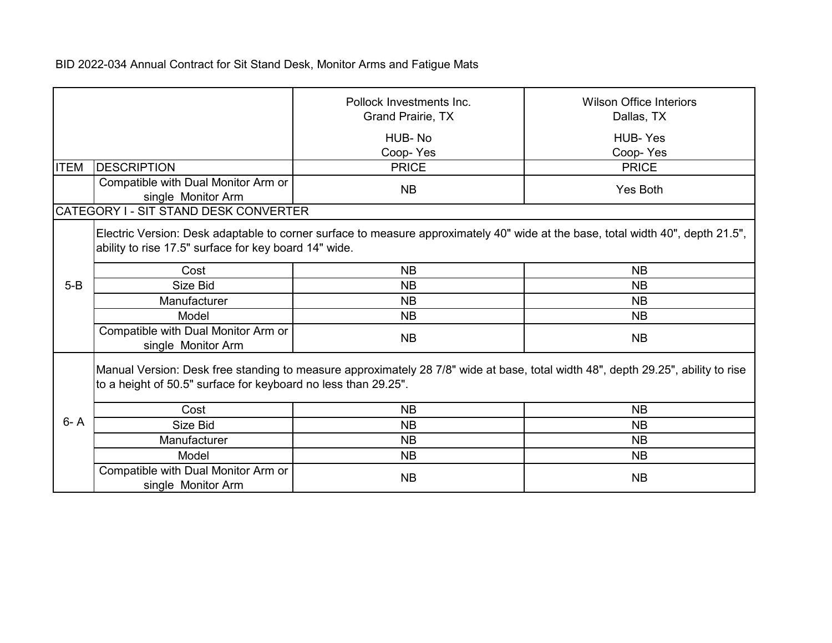|             |                                                                | Pollock Investments Inc.<br><b>Grand Prairie, TX</b>                                                                             | <b>Wilson Office Interiors</b><br>Dallas, TX |
|-------------|----------------------------------------------------------------|----------------------------------------------------------------------------------------------------------------------------------|----------------------------------------------|
|             |                                                                | HUB-No<br>Coop-Yes                                                                                                               | <b>HUB-Yes</b><br>Coop-Yes                   |
| <b>ITEM</b> | <b>DESCRIPTION</b>                                             | <b>PRICE</b>                                                                                                                     | <b>PRICE</b>                                 |
|             | Compatible with Dual Monitor Arm or<br>single Monitor Arm      | <b>NB</b>                                                                                                                        | <b>Yes Both</b>                              |
|             | CATEGORY I - SIT STAND DESK CONVERTER                          |                                                                                                                                  |                                              |
|             | ability to rise 17.5" surface for key board 14" wide.          | Electric Version: Desk adaptable to corner surface to measure approximately 40" wide at the base, total width 40", depth 21.5",  |                                              |
|             | Cost                                                           | <b>NB</b>                                                                                                                        | <b>NB</b>                                    |
| $5 - B$     | Size Bid                                                       | <b>NB</b>                                                                                                                        | <b>NB</b>                                    |
|             | Manufacturer                                                   | <b>NB</b>                                                                                                                        | NB                                           |
|             | Model                                                          | <b>NB</b>                                                                                                                        | <b>NB</b>                                    |
|             | Compatible with Dual Monitor Arm or<br>single Monitor Arm      | <b>NB</b>                                                                                                                        | <b>NB</b>                                    |
|             | to a height of 50.5" surface for keyboard no less than 29.25". | Manual Version: Desk free standing to measure approximately 28 7/8" wide at base, total width 48", depth 29.25", ability to rise |                                              |
|             | Cost                                                           | <b>NB</b>                                                                                                                        | <b>NB</b>                                    |
| $6 - A$     | Size Bid                                                       | <b>NB</b>                                                                                                                        | <b>NB</b>                                    |
|             | Manufacturer                                                   | <b>NB</b>                                                                                                                        | <b>NB</b>                                    |
|             | Model                                                          | <b>NB</b>                                                                                                                        | <b>NB</b>                                    |
|             | Compatible with Dual Monitor Arm or<br>single Monitor Arm      | <b>NB</b>                                                                                                                        | <b>NB</b>                                    |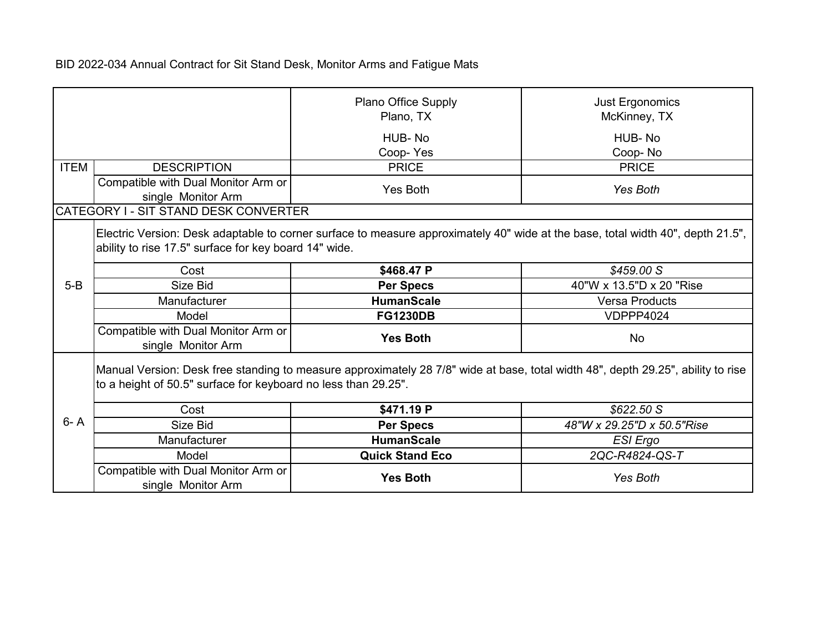|             |                                                                | Plano Office Supply<br>Plano, TX                                                                                                 | Just Ergonomics<br>McKinney, TX                                                                                                 |
|-------------|----------------------------------------------------------------|----------------------------------------------------------------------------------------------------------------------------------|---------------------------------------------------------------------------------------------------------------------------------|
|             |                                                                | HUB-No<br>Coop-Yes                                                                                                               | HUB-No<br>Coop-No                                                                                                               |
| <b>ITEM</b> | <b>DESCRIPTION</b>                                             | <b>PRICE</b>                                                                                                                     | <b>PRICE</b>                                                                                                                    |
|             | Compatible with Dual Monitor Arm or<br>single Monitor Arm      | <b>Yes Both</b>                                                                                                                  | Yes Both                                                                                                                        |
|             | CATEGORY I - SIT STAND DESK CONVERTER                          |                                                                                                                                  |                                                                                                                                 |
|             | ability to rise 17.5" surface for key board 14" wide.          |                                                                                                                                  | Electric Version: Desk adaptable to corner surface to measure approximately 40" wide at the base, total width 40", depth 21.5", |
|             | Cost                                                           | \$468.47 P                                                                                                                       | \$459.00 S                                                                                                                      |
| $5-B$       | Size Bid                                                       | <b>Per Specs</b>                                                                                                                 | 40"W x 13.5"D x 20 "Rise                                                                                                        |
|             | Manufacturer                                                   | <b>HumanScale</b>                                                                                                                | <b>Versa Products</b>                                                                                                           |
|             | Model                                                          | <b>FG1230DB</b>                                                                                                                  | VDPPP4024                                                                                                                       |
|             | Compatible with Dual Monitor Arm or<br>single Monitor Arm      | <b>Yes Both</b>                                                                                                                  | <b>No</b>                                                                                                                       |
|             | to a height of 50.5" surface for keyboard no less than 29.25". | Manual Version: Desk free standing to measure approximately 28 7/8" wide at base, total width 48", depth 29.25", ability to rise |                                                                                                                                 |
|             | Cost                                                           | \$471.19 P                                                                                                                       | \$622.50 S                                                                                                                      |
| $6 - A$     | Size Bid                                                       | <b>Per Specs</b>                                                                                                                 | 48"W x 29.25"D x 50.5"Rise                                                                                                      |
|             | Manufacturer                                                   | <b>HumanScale</b>                                                                                                                | ESI Ergo                                                                                                                        |
|             | Model                                                          | <b>Quick Stand Eco</b>                                                                                                           | 2QC-R4824-QS-T                                                                                                                  |
|             | Compatible with Dual Monitor Arm or<br>single Monitor Arm      | <b>Yes Both</b>                                                                                                                  | <b>Yes Both</b>                                                                                                                 |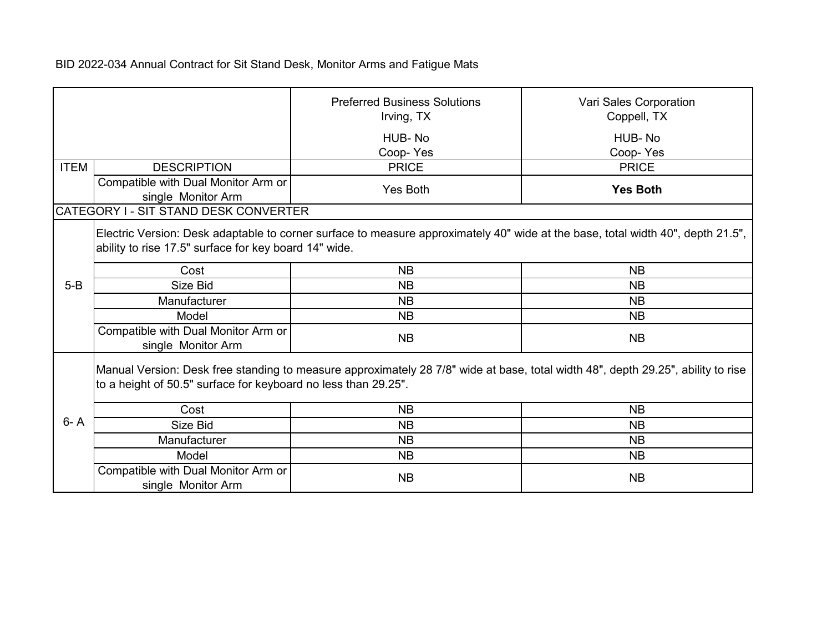|             |                                                                | <b>Preferred Business Solutions</b><br>Irving, TX                                                                                | Vari Sales Corporation<br>Coppell, TX |
|-------------|----------------------------------------------------------------|----------------------------------------------------------------------------------------------------------------------------------|---------------------------------------|
|             |                                                                | HUB-No<br>Coop-Yes                                                                                                               | HUB-No<br>Coop-Yes                    |
| <b>ITEM</b> | <b>DESCRIPTION</b>                                             | <b>PRICE</b>                                                                                                                     | <b>PRICE</b>                          |
|             | Compatible with Dual Monitor Arm or<br>single Monitor Arm      | <b>Yes Both</b>                                                                                                                  | <b>Yes Both</b>                       |
|             | CATEGORY I - SIT STAND DESK CONVERTER                          |                                                                                                                                  |                                       |
|             | ability to rise 17.5" surface for key board 14" wide.          | Electric Version: Desk adaptable to corner surface to measure approximately 40" wide at the base, total width 40", depth 21.5",  |                                       |
|             | Cost                                                           | <b>NB</b>                                                                                                                        | <b>NB</b>                             |
| $5-B$       | Size Bid                                                       | <b>NB</b>                                                                                                                        | <b>NB</b>                             |
|             | Manufacturer                                                   | <b>NB</b>                                                                                                                        | <b>NB</b>                             |
|             | Model                                                          | <b>NB</b>                                                                                                                        | <b>NB</b>                             |
|             | Compatible with Dual Monitor Arm or<br>single Monitor Arm      | <b>NB</b>                                                                                                                        | <b>NB</b>                             |
|             | to a height of 50.5" surface for keyboard no less than 29.25". | Manual Version: Desk free standing to measure approximately 28 7/8" wide at base, total width 48", depth 29.25", ability to rise |                                       |
|             | Cost                                                           | <b>NB</b>                                                                                                                        | <b>NB</b>                             |
| $6 - A$     | Size Bid                                                       | <b>NB</b>                                                                                                                        | <b>NB</b>                             |
|             | Manufacturer                                                   | <b>NB</b>                                                                                                                        | <b>NB</b>                             |
|             | Model                                                          | <b>NB</b>                                                                                                                        | <b>NB</b>                             |
|             | Compatible with Dual Monitor Arm or<br>single Monitor Arm      | <b>NB</b>                                                                                                                        | <b>NB</b>                             |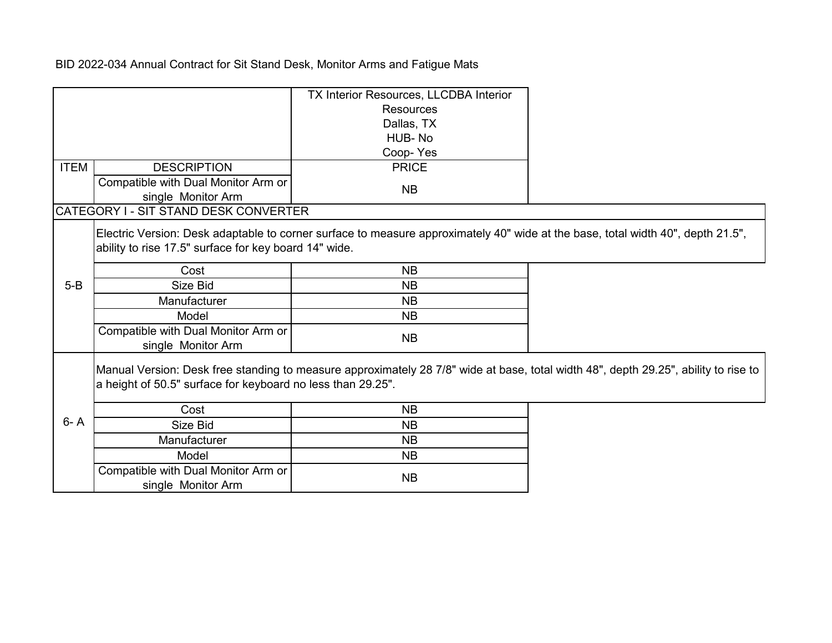|             |                                                             | TX Interior Resources, LLCDBA Interior                                                                                              |  |
|-------------|-------------------------------------------------------------|-------------------------------------------------------------------------------------------------------------------------------------|--|
|             |                                                             | <b>Resources</b>                                                                                                                    |  |
|             |                                                             | Dallas, TX                                                                                                                          |  |
|             |                                                             | HUB-No                                                                                                                              |  |
|             |                                                             | Coop-Yes                                                                                                                            |  |
| <b>ITEM</b> | <b>DESCRIPTION</b>                                          | <b>PRICE</b>                                                                                                                        |  |
|             | Compatible with Dual Monitor Arm or                         |                                                                                                                                     |  |
|             | single Monitor Arm                                          | <b>NB</b>                                                                                                                           |  |
|             | CATEGORY I - SIT STAND DESK CONVERTER                       |                                                                                                                                     |  |
|             | ability to rise 17.5" surface for key board 14" wide.       | Electric Version: Desk adaptable to corner surface to measure approximately 40" wide at the base, total width 40", depth 21.5",     |  |
|             | Cost                                                        | <b>NB</b>                                                                                                                           |  |
| $5-B$       | Size Bid                                                    | <b>NB</b>                                                                                                                           |  |
|             | Manufacturer                                                | <b>NB</b>                                                                                                                           |  |
|             | Model                                                       | <b>NB</b>                                                                                                                           |  |
|             | Compatible with Dual Monitor Arm or<br>single Monitor Arm   | <b>NB</b>                                                                                                                           |  |
|             | a height of 50.5" surface for keyboard no less than 29.25". | Manual Version: Desk free standing to measure approximately 28 7/8" wide at base, total width 48", depth 29.25", ability to rise to |  |
|             | Cost                                                        | <b>NB</b>                                                                                                                           |  |
| $6 - A$     | Size Bid                                                    | <b>NB</b>                                                                                                                           |  |
|             | Manufacturer                                                | <b>NB</b>                                                                                                                           |  |
|             | Model                                                       | <b>NB</b>                                                                                                                           |  |
|             | Compatible with Dual Monitor Arm or<br>single Monitor Arm   | <b>NB</b>                                                                                                                           |  |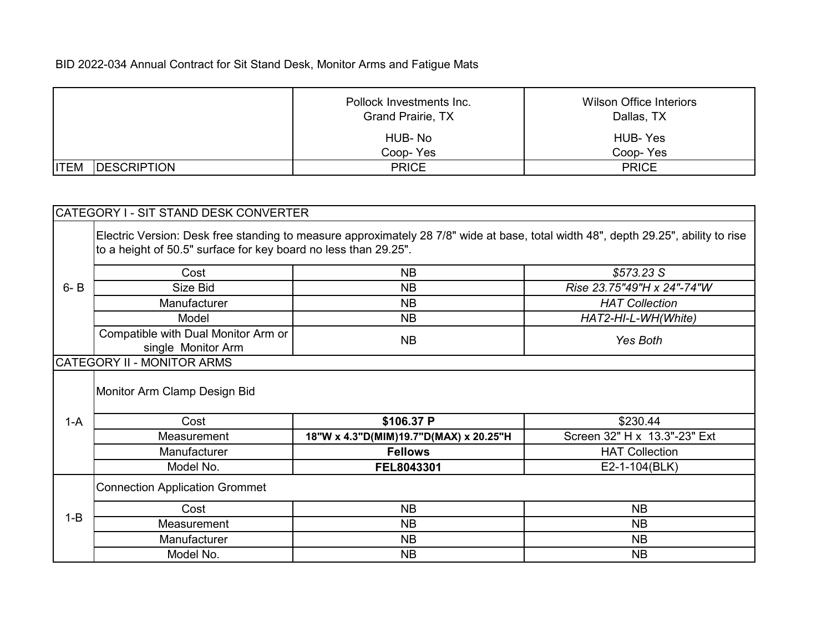|                                    | Pollock Investments Inc.<br><b>Grand Prairie, TX</b> | <b>Wilson Office Interiors</b><br>Dallas, TX |
|------------------------------------|------------------------------------------------------|----------------------------------------------|
|                                    | HUB-No                                               | HUB- Yes                                     |
|                                    | Coop-Yes                                             | Coop-Yes                                     |
| <b>ITEM</b><br><b>IDESCRIPTION</b> | <b>PRICE</b>                                         | <b>PRICE</b>                                 |

|         | CATEGORY I - SIT STAND DESK CONVERTER                                                                                                                                                                 |                                        |                              |
|---------|-------------------------------------------------------------------------------------------------------------------------------------------------------------------------------------------------------|----------------------------------------|------------------------------|
|         | Electric Version: Desk free standing to measure approximately 28 7/8" wide at base, total width 48", depth 29.25", ability to rise<br>to a height of 50.5" surface for key board no less than 29.25". |                                        |                              |
|         | Cost                                                                                                                                                                                                  | <b>NB</b>                              | \$573.23 S                   |
| $6 - B$ | Size Bid                                                                                                                                                                                              | <b>NB</b>                              | Rise 23.75"49"H x 24"-74"W   |
|         | Manufacturer                                                                                                                                                                                          | <b>NB</b>                              | <b>HAT Collection</b>        |
|         | Model                                                                                                                                                                                                 | <b>NB</b>                              | HAT2-HI-L-WH(White)          |
|         | Compatible with Dual Monitor Arm or<br>single Monitor Arm                                                                                                                                             | <b>NB</b>                              | Yes Both                     |
|         | CATEGORY II - MONITOR ARMS                                                                                                                                                                            |                                        |                              |
|         | Monitor Arm Clamp Design Bid                                                                                                                                                                          |                                        |                              |
| $1-A$   | Cost                                                                                                                                                                                                  | \$106.37 P                             | \$230.44                     |
|         | Measurement                                                                                                                                                                                           | 18"W x 4.3"D(MIM)19.7"D(MAX) x 20.25"H | Screen 32" H x 13.3"-23" Ext |
|         | Manufacturer                                                                                                                                                                                          | <b>Fellows</b>                         | <b>HAT Collection</b>        |
|         | Model No.                                                                                                                                                                                             | FEL8043301                             | E2-1-104(BLK)                |
|         | <b>Connection Application Grommet</b>                                                                                                                                                                 |                                        |                              |
| $1 - B$ | Cost                                                                                                                                                                                                  | <b>NB</b>                              | <b>NB</b>                    |
|         | Measurement                                                                                                                                                                                           | <b>NB</b>                              | <b>NB</b>                    |
|         | Manufacturer                                                                                                                                                                                          | <b>NB</b>                              | <b>NB</b>                    |
|         | Model No.                                                                                                                                                                                             | <b>NB</b>                              | <b>NB</b>                    |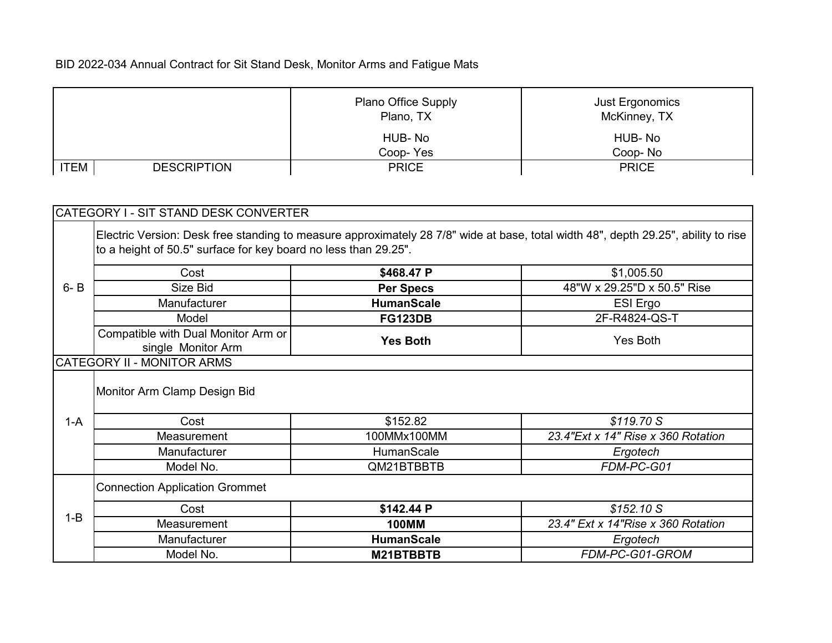|                                   | <b>Plano Office Supply</b><br>Plano, TX | Just Ergonomics<br>McKinney, TX |
|-----------------------------------|-----------------------------------------|---------------------------------|
|                                   | HUB-No                                  | HUB-No                          |
|                                   | Coop-Yes                                | Coop-No                         |
| <b>ITEM</b><br><b>DESCRIPTION</b> | <b>PRICE</b>                            | <b>PRICE</b>                    |

|         | CATEGORY I - SIT STAND DESK CONVERTER                           |                   |                                                                                                                                    |
|---------|-----------------------------------------------------------------|-------------------|------------------------------------------------------------------------------------------------------------------------------------|
|         | to a height of 50.5" surface for key board no less than 29.25". |                   | Electric Version: Desk free standing to measure approximately 28 7/8" wide at base, total width 48", depth 29.25", ability to rise |
|         | Cost                                                            | \$468.47 P        | \$1,005.50                                                                                                                         |
| $6 - B$ | Size Bid                                                        | <b>Per Specs</b>  | 48"W x 29.25"D x 50.5" Rise                                                                                                        |
|         | Manufacturer                                                    | <b>HumanScale</b> | ESI Ergo                                                                                                                           |
|         | Model                                                           | <b>FG123DB</b>    | 2F-R4824-QS-T                                                                                                                      |
|         | Compatible with Dual Monitor Arm or<br>single Monitor Arm       | <b>Yes Both</b>   | Yes Both                                                                                                                           |
|         | <b>CATEGORY II - MONITOR ARMS</b>                               |                   |                                                                                                                                    |
|         | Monitor Arm Clamp Design Bid                                    |                   |                                                                                                                                    |
| $1-A$   | Cost                                                            | \$152.82          | \$119.70 S                                                                                                                         |
|         | Measurement                                                     | 100MMx100MM       | 23.4"Ext x 14" Rise x 360 Rotation                                                                                                 |
|         | Manufacturer                                                    | HumanScale        | Ergotech                                                                                                                           |
|         | Model No.                                                       | QM21BTBBTB        | FDM-PC-G01                                                                                                                         |
|         | <b>Connection Application Grommet</b>                           |                   |                                                                                                                                    |
|         | Cost                                                            | \$142.44 P        | \$152.10S                                                                                                                          |
| $1 - B$ | Measurement                                                     | <b>100MM</b>      | 23.4" Ext x 14" Rise x 360 Rotation                                                                                                |
|         | Manufacturer                                                    | <b>HumanScale</b> | Ergotech                                                                                                                           |
|         | Model No.                                                       | M21BTBBTB         | FDM-PC-G01-GROM                                                                                                                    |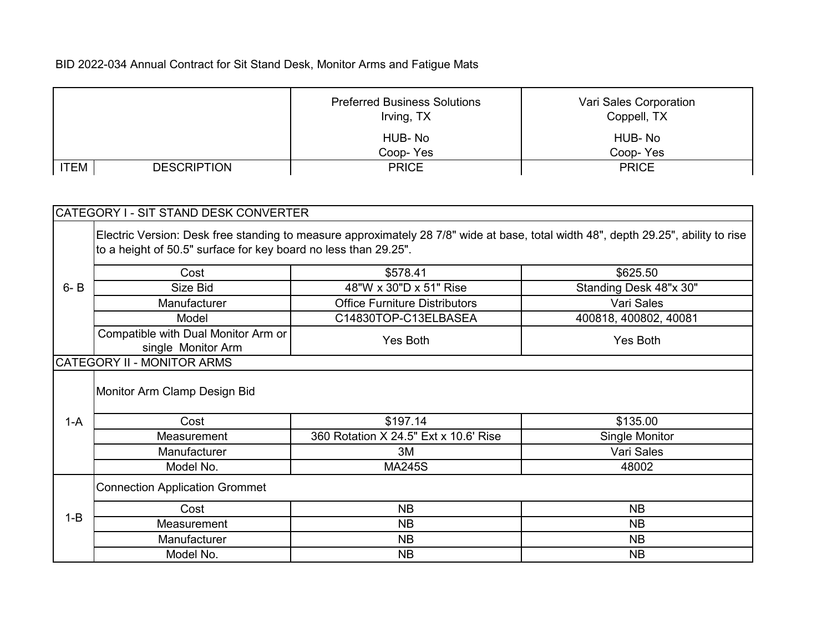|                                   | <b>Preferred Business Solutions</b><br>Irving, TX | Vari Sales Corporation<br>Coppell, TX |
|-----------------------------------|---------------------------------------------------|---------------------------------------|
|                                   | HUB-No<br>Coop-Yes                                | HUB-No<br>Coop-Yes                    |
| <b>ITEM</b><br><b>DESCRIPTION</b> | <b>PRICE</b>                                      | <b>PRICE</b>                          |

|         | CATEGORY I - SIT STAND DESK CONVERTER                                                                                                                                                                 |                                       |                        |  |
|---------|-------------------------------------------------------------------------------------------------------------------------------------------------------------------------------------------------------|---------------------------------------|------------------------|--|
|         | Electric Version: Desk free standing to measure approximately 28 7/8" wide at base, total width 48", depth 29.25", ability to rise<br>to a height of 50.5" surface for key board no less than 29.25". |                                       |                        |  |
|         | Cost                                                                                                                                                                                                  | \$578.41                              | \$625.50               |  |
| $6 - B$ | Size Bid                                                                                                                                                                                              | 48"W x 30"D x 51" Rise                | Standing Desk 48"x 30" |  |
|         | Manufacturer                                                                                                                                                                                          | <b>Office Furniture Distributors</b>  | Vari Sales             |  |
|         | Model                                                                                                                                                                                                 | C14830TOP-C13ELBASEA                  | 400818, 400802, 40081  |  |
|         | Compatible with Dual Monitor Arm or<br>single Monitor Arm                                                                                                                                             | Yes Both                              | Yes Both               |  |
|         | CATEGORY II - MONITOR ARMS                                                                                                                                                                            |                                       |                        |  |
|         | Monitor Arm Clamp Design Bid                                                                                                                                                                          |                                       |                        |  |
| $1-A$   | Cost                                                                                                                                                                                                  | \$197.14                              | \$135.00               |  |
|         | Measurement                                                                                                                                                                                           | 360 Rotation X 24.5" Ext x 10.6' Rise | Single Monitor         |  |
|         | Manufacturer                                                                                                                                                                                          | 3M                                    | Vari Sales             |  |
|         | Model No.                                                                                                                                                                                             | <b>MA245S</b>                         | 48002                  |  |
|         | <b>Connection Application Grommet</b>                                                                                                                                                                 |                                       |                        |  |
|         | Cost                                                                                                                                                                                                  | <b>NB</b>                             | <b>NB</b>              |  |
| $1 - B$ | Measurement                                                                                                                                                                                           | <b>NB</b>                             | <b>NB</b>              |  |
|         | Manufacturer                                                                                                                                                                                          | <b>NB</b>                             | <b>NB</b>              |  |
|         | Model No.                                                                                                                                                                                             | <b>NB</b>                             | <b>NB</b>              |  |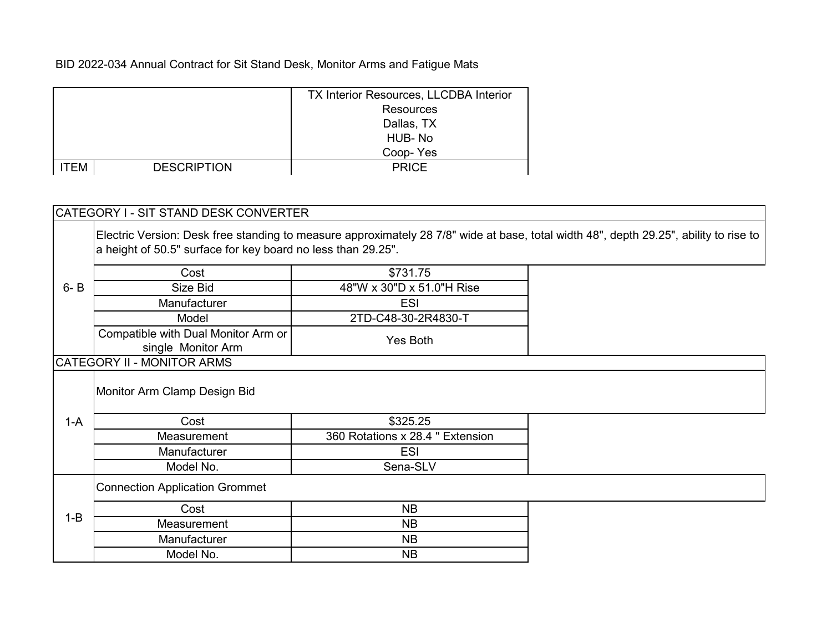|             |                    | TX Interior Resources, LLCDBA Interior |
|-------------|--------------------|----------------------------------------|
|             |                    | <b>Resources</b>                       |
|             |                    | Dallas, TX                             |
|             |                    | HUB-No                                 |
|             |                    | Coop-Yes                               |
| <b>ITEM</b> | <b>DESCRIPTION</b> | <b>PRICE</b>                           |

|         | a height of 50.5" surface for key board no less than 29.25". |                                  |  |
|---------|--------------------------------------------------------------|----------------------------------|--|
|         | Cost                                                         | \$731.75                         |  |
| $6 - B$ | Size Bid                                                     | 48"W x 30"D x 51.0"H Rise        |  |
|         | Manufacturer                                                 | <b>ESI</b>                       |  |
|         | Model                                                        | 2TD-C48-30-2R4830-T              |  |
|         | Compatible with Dual Monitor Arm or<br>single Monitor Arm    | Yes Both                         |  |
|         | CATEGORY II - MONITOR ARMS                                   |                                  |  |
|         | Monitor Arm Clamp Design Bid                                 |                                  |  |
| $1-A$   | Cost                                                         | \$325.25                         |  |
|         | Measurement                                                  | 360 Rotations x 28.4 " Extension |  |
|         | Manufacturer                                                 | ESI                              |  |
|         | Model No.                                                    | Sena-SLV                         |  |

|         | Cost         | <b>NB</b> |
|---------|--------------|-----------|
| $1 - B$ | Measurement  | <b>NB</b> |
|         | Manufacturer | <b>NB</b> |
|         | Model No.    | NΒ        |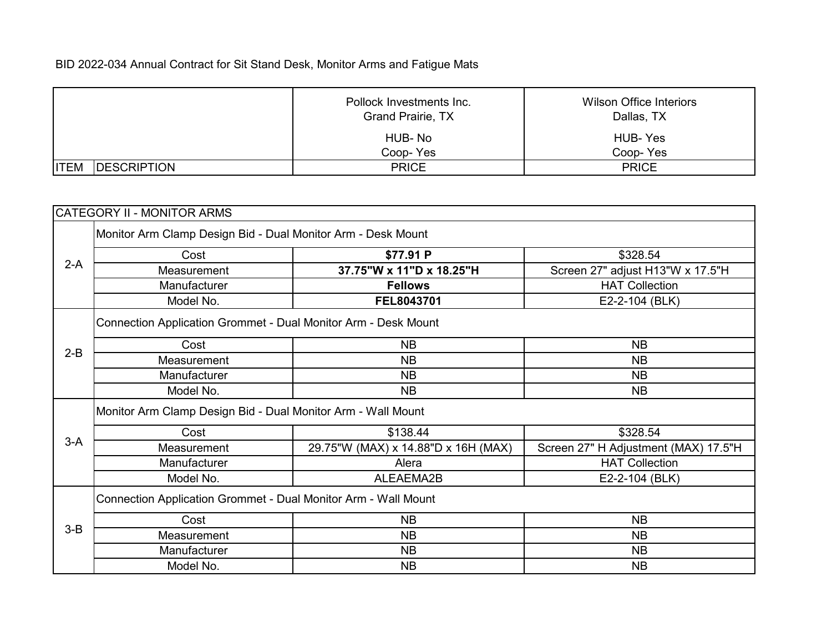| Pollock Investments Inc.<br><b>Grand Prairie, TX</b> |              | Wilson Office Interiors<br>Dallas, TX |
|------------------------------------------------------|--------------|---------------------------------------|
|                                                      | HUB-No       | HUB- Yes                              |
|                                                      | Coop-Yes     | Coop-Yes                              |
| <b>ITEM</b><br><b>IDESCRIPTION</b>                   | <b>PRICE</b> | <b>PRICE</b>                          |

|       | CATEGORY II - MONITOR ARMS                                     |                                     |                                      |  |
|-------|----------------------------------------------------------------|-------------------------------------|--------------------------------------|--|
|       | Monitor Arm Clamp Design Bid - Dual Monitor Arm - Desk Mount   |                                     |                                      |  |
|       | Cost                                                           | \$77.91 P                           | \$328.54                             |  |
| $2-A$ | Measurement                                                    | 37.75"W x 11"D x 18.25"H            | Screen 27" adjust H13"W x 17.5"H     |  |
|       | Manufacturer                                                   | <b>Fellows</b>                      | <b>HAT Collection</b>                |  |
|       | Model No.                                                      | FEL8043701                          | E2-2-104 (BLK)                       |  |
|       | Connection Application Grommet - Dual Monitor Arm - Desk Mount |                                     |                                      |  |
|       | Cost                                                           | <b>NB</b>                           | <b>NB</b>                            |  |
| $2-B$ | Measurement                                                    | <b>NB</b>                           | <b>NB</b>                            |  |
|       | Manufacturer                                                   | <b>NB</b>                           | <b>NB</b>                            |  |
|       | Model No.                                                      | <b>NB</b>                           | <b>NB</b>                            |  |
|       | Monitor Arm Clamp Design Bid - Dual Monitor Arm - Wall Mount   |                                     |                                      |  |
|       | Cost                                                           | \$138.44                            | \$328.54                             |  |
| $3-A$ | Measurement                                                    | 29.75"W (MAX) x 14.88"D x 16H (MAX) | Screen 27" H Adjustment (MAX) 17.5"H |  |
|       | Manufacturer                                                   | Alera                               | <b>HAT Collection</b>                |  |
|       | Model No.                                                      | ALEAEMA2B                           | E2-2-104 (BLK)                       |  |
|       | Connection Application Grommet - Dual Monitor Arm - Wall Mount |                                     |                                      |  |
|       | Cost                                                           | <b>NB</b>                           | <b>NB</b>                            |  |
| $3-B$ | Measurement                                                    | <b>NB</b>                           | <b>NB</b>                            |  |
|       | Manufacturer                                                   | <b>NB</b>                           | <b>NB</b>                            |  |
|       | Model No.                                                      | <b>NB</b>                           | <b>NB</b>                            |  |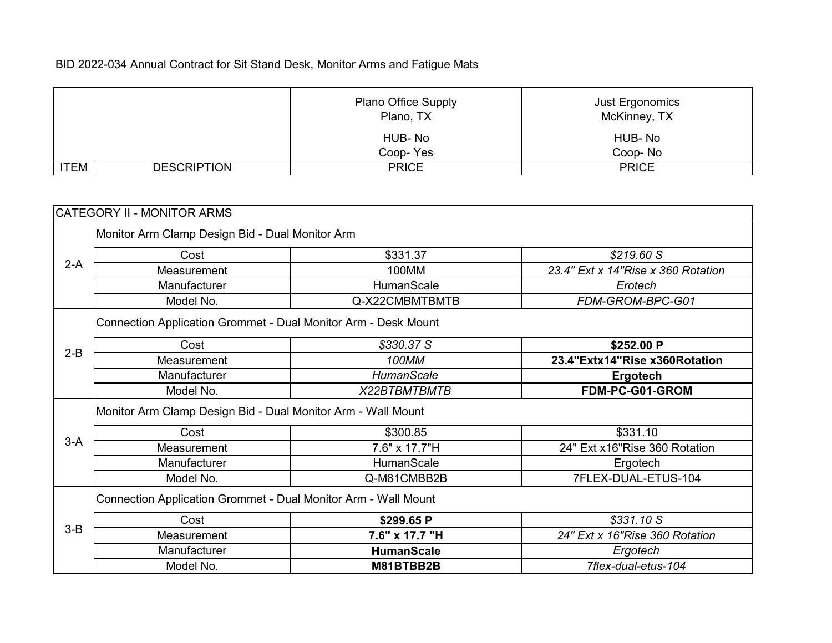|             |                    | <b>Plano Office Supply</b><br>Plano, TX | Just Ergonomics<br>McKinney, TX |
|-------------|--------------------|-----------------------------------------|---------------------------------|
|             |                    | HUB-No                                  | HUB-No                          |
|             |                    | Coop-Yes                                | Coop-No                         |
| <b>ITEM</b> | <b>DESCRIPTION</b> | <b>PRICE</b>                            | <b>PRICE</b>                    |

|         | CATEGORY II - MONITOR ARMS                                     |                   |                                     |  |
|---------|----------------------------------------------------------------|-------------------|-------------------------------------|--|
|         | Monitor Arm Clamp Design Bid - Dual Monitor Arm                |                   |                                     |  |
|         | Cost                                                           | \$331.37          | \$219.60 S                          |  |
| $2-A$   | Measurement                                                    | 100MM             | 23.4" Ext x 14" Rise x 360 Rotation |  |
|         | Manufacturer                                                   | HumanScale        | Erotech                             |  |
|         | Model No.                                                      | Q-X22CMBMTBMTB    | FDM-GROM-BPC-G01                    |  |
|         | Connection Application Grommet - Dual Monitor Arm - Desk Mount |                   |                                     |  |
|         | Cost                                                           | \$330.37 S        | \$252.00 P                          |  |
| $2-B$   | Measurement                                                    | 100MM             | 23.4"Extx14"Rise x360Rotation       |  |
|         | Manufacturer                                                   | <b>HumanScale</b> | <b>Ergotech</b>                     |  |
|         | Model No.                                                      | X22BTBMTBMTB      | FDM-PC-G01-GROM                     |  |
|         | Monitor Arm Clamp Design Bid - Dual Monitor Arm - Wall Mount   |                   |                                     |  |
|         | Cost                                                           | \$300.85          | \$331.10                            |  |
| $3-A$   | Measurement                                                    | 7.6" x 17.7"H     | 24" Ext x16"Rise 360 Rotation       |  |
|         | Manufacturer                                                   | HumanScale        | Ergotech                            |  |
|         | Model No.                                                      | Q-M81CMBB2B       | 7FLEX-DUAL-ETUS-104                 |  |
|         | Connection Application Grommet - Dual Monitor Arm - Wall Mount |                   |                                     |  |
|         | Cost                                                           | \$299.65 P        | \$331.10 S                          |  |
| $3 - B$ | Measurement                                                    | 7.6" x 17.7 "H    | 24" Ext x 16" Rise 360 Rotation     |  |
|         | Manufacturer                                                   | <b>HumanScale</b> | Ergotech                            |  |
|         | Model No.                                                      | M81BTBB2B         | 7flex-dual-etus-104                 |  |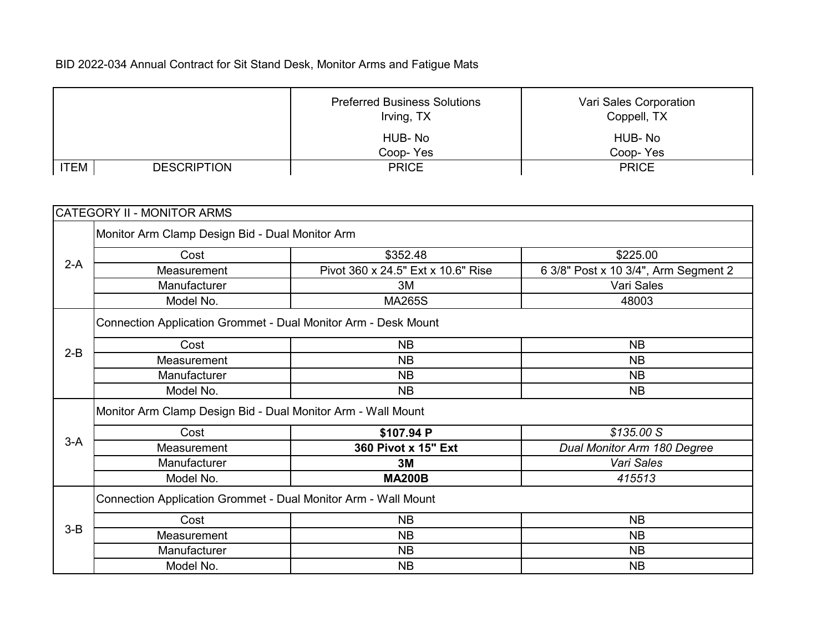|             |                    | <b>Preferred Business Solutions</b><br>Irving, TX | Vari Sales Corporation<br>Coppell, TX |
|-------------|--------------------|---------------------------------------------------|---------------------------------------|
|             |                    | HUB-No                                            | HUB-No                                |
|             |                    | Coop-Yes                                          | Coop-Yes                              |
| <b>ITEM</b> | <b>DESCRIPTION</b> | <b>PRICE</b>                                      | <b>PRICE</b>                          |

|         | <b>CATEGORY II - MONITOR ARMS</b>                              |                                    |                                      |  |
|---------|----------------------------------------------------------------|------------------------------------|--------------------------------------|--|
|         | Monitor Arm Clamp Design Bid - Dual Monitor Arm                |                                    |                                      |  |
|         | Cost                                                           | \$352.48                           | \$225.00                             |  |
| $2-A$   | Measurement                                                    | Pivot 360 x 24.5" Ext x 10.6" Rise | 6 3/8" Post x 10 3/4", Arm Segment 2 |  |
|         | Manufacturer                                                   | 3M                                 | Vari Sales                           |  |
|         | Model No.                                                      | <b>MA265S</b>                      | 48003                                |  |
|         | Connection Application Grommet - Dual Monitor Arm - Desk Mount |                                    |                                      |  |
|         | Cost                                                           | <b>NB</b>                          | <b>NB</b>                            |  |
| $2-B$   | Measurement                                                    | <b>NB</b>                          | <b>NB</b>                            |  |
|         | Manufacturer                                                   | <b>NB</b>                          | <b>NB</b>                            |  |
|         | Model No.                                                      | <b>NB</b>                          | <b>NB</b>                            |  |
|         | Monitor Arm Clamp Design Bid - Dual Monitor Arm - Wall Mount   |                                    |                                      |  |
|         | Cost                                                           | \$107.94 P                         | \$135.00 S                           |  |
| $3-A$   | Measurement                                                    | 360 Pivot x 15" Ext                | Dual Monitor Arm 180 Degree          |  |
|         | Manufacturer                                                   | 3M                                 | Vari Sales                           |  |
|         | Model No.                                                      | <b>MA200B</b>                      | 415513                               |  |
|         | Connection Application Grommet - Dual Monitor Arm - Wall Mount |                                    |                                      |  |
|         | Cost                                                           | <b>NB</b>                          | <b>NB</b>                            |  |
| $3 - B$ | Measurement                                                    | <b>NB</b>                          | <b>NB</b>                            |  |
|         | Manufacturer                                                   | <b>NB</b>                          | <b>NB</b>                            |  |
|         | Model No.                                                      | <b>NB</b>                          | <b>NB</b>                            |  |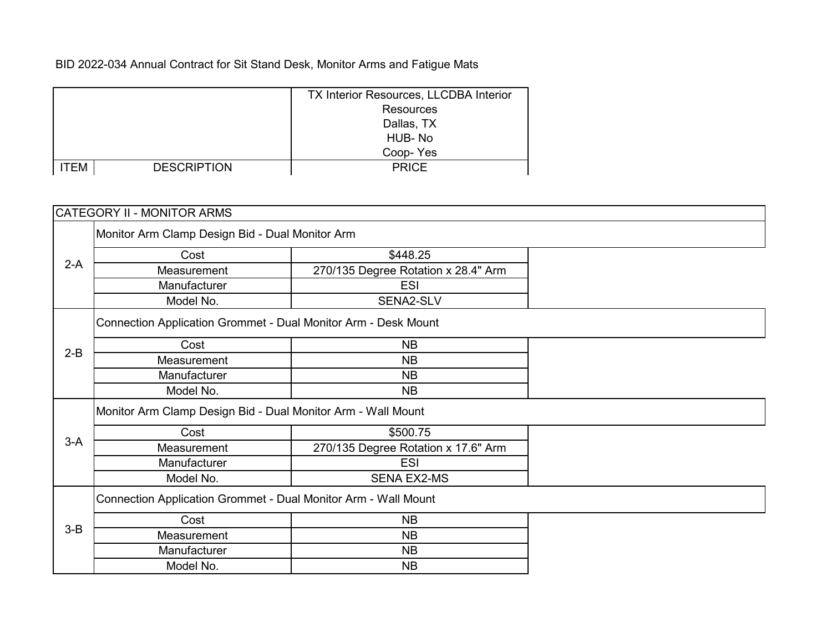|      |                    | <b>TX Interior Resources, LLCDBA Interior</b> |
|------|--------------------|-----------------------------------------------|
|      |                    | <b>Resources</b>                              |
|      |                    | Dallas, TX                                    |
|      |                    | HUB-No                                        |
|      |                    | Coop-Yes                                      |
| ITEM | <b>DESCRIPTION</b> | <b>PRICE</b>                                  |

|         | <b>CATEGORY II - MONITOR ARMS</b>                              |                                     |  |  |
|---------|----------------------------------------------------------------|-------------------------------------|--|--|
|         | Monitor Arm Clamp Design Bid - Dual Monitor Arm                |                                     |  |  |
|         | Cost                                                           | \$448.25                            |  |  |
| $2-A$   | Measurement                                                    | 270/135 Degree Rotation x 28.4" Arm |  |  |
|         | Manufacturer                                                   | <b>ESI</b>                          |  |  |
|         | Model No.                                                      | SENA2-SLV                           |  |  |
|         | Connection Application Grommet - Dual Monitor Arm - Desk Mount |                                     |  |  |
| $2-B$   | Cost                                                           | <b>NB</b>                           |  |  |
|         | Measurement                                                    | <b>NB</b>                           |  |  |
|         | Manufacturer                                                   | <b>NB</b>                           |  |  |
|         | Model No.                                                      | <b>NB</b>                           |  |  |
|         | Monitor Arm Clamp Design Bid - Dual Monitor Arm - Wall Mount   |                                     |  |  |
|         | Cost                                                           | \$500.75                            |  |  |
| $3-A$   | Measurement                                                    | 270/135 Degree Rotation x 17.6" Arm |  |  |
|         | Manufacturer                                                   | <b>ESI</b>                          |  |  |
|         | Model No.                                                      | <b>SENA EX2-MS</b>                  |  |  |
|         | Connection Application Grommet - Dual Monitor Arm - Wall Mount |                                     |  |  |
|         | Cost                                                           | <b>NB</b>                           |  |  |
| $3 - B$ | Measurement                                                    | <b>NB</b>                           |  |  |
|         | Manufacturer                                                   | <b>NB</b>                           |  |  |
|         | Model No.                                                      | <b>NB</b>                           |  |  |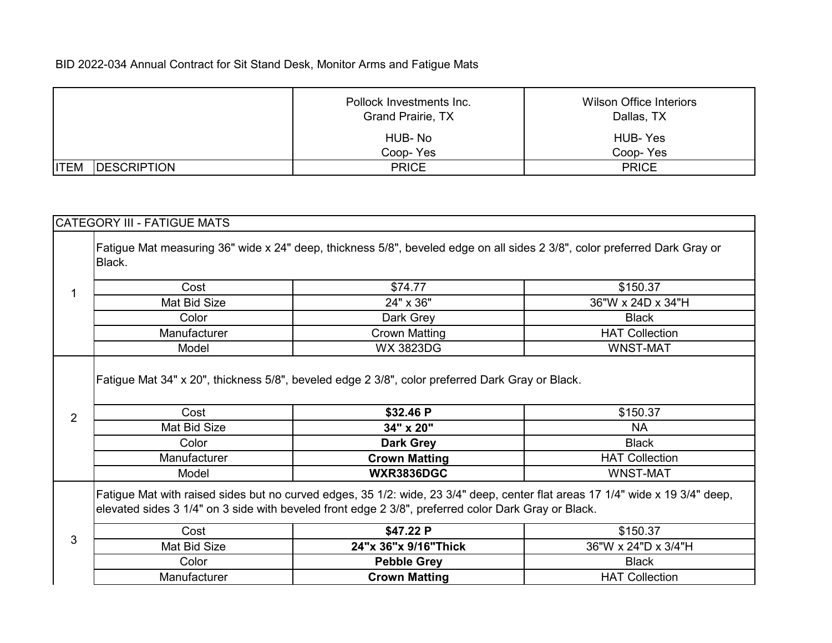|                                    | Pollock Investments Inc.<br>Grand Prairie, TX | Wilson Office Interiors<br>Dallas, TX |
|------------------------------------|-----------------------------------------------|---------------------------------------|
|                                    | HUB-No                                        | HUB-Yes                               |
|                                    | Coop-Yes                                      | Coop-Yes                              |
| <b>ITEM</b><br><b>IDESCRIPTION</b> | <b>PRICE</b>                                  | <b>PRICE</b>                          |

# Cost \$74.77 \$150.37 Mat Bid Size **19 COVID-24"** x 36" 36" 36"W x 24D x 34"H Color **Dark Grey** Dark Grey **Black** Manufacturer **Nature Crown Matting Crown Matting HAT Collection** Model WX 3823DG WNST-MAT **Cost 62.46 P** \$32.46 P \$150.37 Mat Bid Size **34" x 20"** NA **Color Dark Grey Dark Grey Black** Manufacturer **Crown Matting Figure 1** HAT Collection Model **WXR3836DGC** WNST-MAT Fatigue Mat with raised sides but no curved edges, 35 1/2: wide, 23 3/4" deep, center flat areas 17 1/4" wide x 19 3/4" deep, elevated sides 3 1/4" on 3 side with beveled front edge 2 3/8", preferred color Dark Gray or Black. 1 2 CATEGORY III - FATIGUE MATS Fatigue Mat 34" x 20", thickness 5/8", beveled edge 2 3/8", color preferred Dark Gray or Black. Fatigue Mat measuring 36" wide x 24" deep, thickness 5/8", beveled edge on all sides 2 3/8", color preferred Dark Gray or Black.

| $\sim$ | Cost         | \$47.22 P            | \$150.37                   |
|--------|--------------|----------------------|----------------------------|
| u      | Mat Bid Size | 24"x 36"x 9/16"Thick | 36"W x 24"D x 3/4"H        |
|        | Color        | <b>Pebble Grey</b>   | <b>Black</b>               |
|        | Manufacturer | Crown Matting        | <b>HAT</b><br>Г Collection |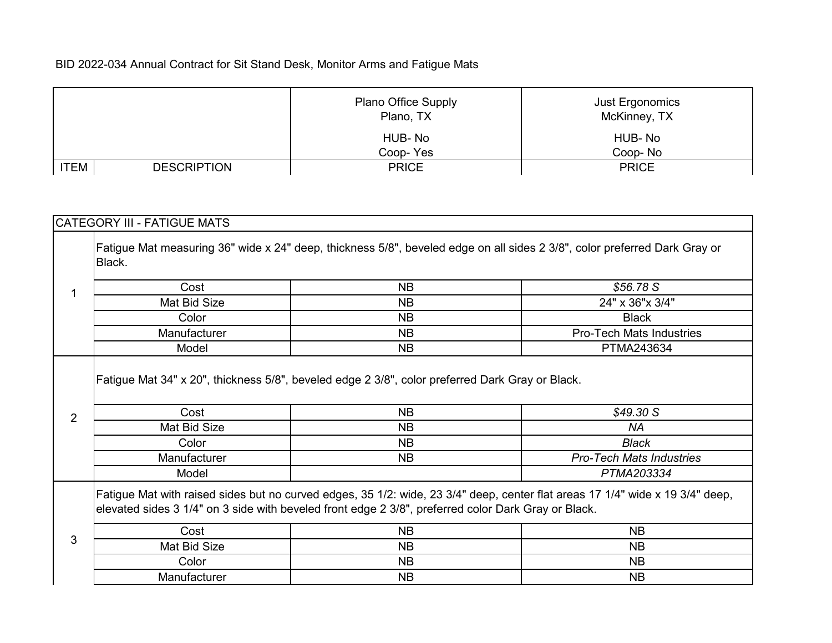|      |                    | <b>Plano Office Supply</b><br>Plano, TX | <b>Just Ergonomics</b><br>McKinney, TX |
|------|--------------------|-----------------------------------------|----------------------------------------|
|      |                    | HUB-No                                  | HUB-No                                 |
|      |                    | Coop-Yes                                | Coop-No                                |
| 'TEM | <b>DESCRIPTION</b> | <b>PRICE</b>                            | <b>PRICE</b>                           |

|                | CATEGORY III - FATIGUE MATS |                                                                                                              |                                                                                                                               |
|----------------|-----------------------------|--------------------------------------------------------------------------------------------------------------|-------------------------------------------------------------------------------------------------------------------------------|
|                | Black.                      |                                                                                                              | Fatigue Mat measuring 36" wide x 24" deep, thickness 5/8", beveled edge on all sides 2 3/8", color preferred Dark Gray or     |
| 1              | Cost                        | <b>NB</b>                                                                                                    | \$56.78 S                                                                                                                     |
|                | Mat Bid Size                | <b>NB</b>                                                                                                    | 24" x 36" x 3/4"                                                                                                              |
|                | Color                       | <b>NB</b>                                                                                                    | <b>Black</b>                                                                                                                  |
|                | Manufacturer                | <b>NB</b>                                                                                                    | <b>Pro-Tech Mats Industries</b>                                                                                               |
|                | Model                       | <b>NB</b>                                                                                                    | PTMA243634                                                                                                                    |
| $\overline{2}$ | Cost                        | Fatigue Mat 34" x 20", thickness 5/8", beveled edge 2 3/8", color preferred Dark Gray or Black.<br><b>NB</b> | \$49.30 S                                                                                                                     |
|                | Mat Bid Size                | <b>NB</b>                                                                                                    | <b>NA</b>                                                                                                                     |
|                | Color                       | NB.                                                                                                          | <b>Black</b>                                                                                                                  |
|                | Manufacturer                | <b>NB</b>                                                                                                    | <b>Pro-Tech Mats Industries</b>                                                                                               |
|                | Model                       |                                                                                                              | PTMA203334                                                                                                                    |
|                |                             | elevated sides 3 1/4" on 3 side with beveled front edge 2 3/8", preferred color Dark Gray or Black.          | Fatigue Mat with raised sides but no curved edges, 35 1/2: wide, 23 3/4" deep, center flat areas 17 1/4" wide x 19 3/4" deep, |
|                | Cost                        | <b>NB</b>                                                                                                    | <b>NB</b>                                                                                                                     |
| 3              | Mat Bid Size                | <b>NB</b>                                                                                                    | <b>NB</b>                                                                                                                     |
|                | Color                       | <b>NB</b>                                                                                                    | <b>NB</b>                                                                                                                     |
|                | Manufacturer                | <b>NB</b>                                                                                                    | <b>NB</b>                                                                                                                     |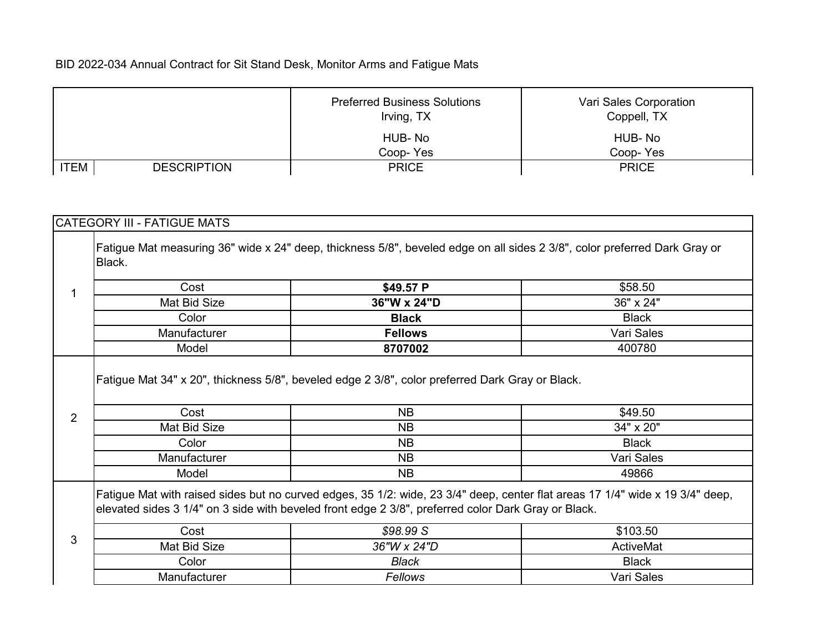|      |                    | <b>Preferred Business Solutions</b><br>Irving, TX | Vari Sales Corporation<br>Coppell, TX |
|------|--------------------|---------------------------------------------------|---------------------------------------|
|      |                    | HUB-No                                            | HUB-No                                |
|      |                    | Coop-Yes                                          | Coop-Yes                              |
| 'TEM | <b>DESCRIPTION</b> | <b>PRICE</b>                                      | <b>PRICE</b>                          |

| Black.                 | Fatigue Mat measuring 36" wide x 24" deep, thickness 5/8", beveled edge on all sides 2 3/8", color preferred Dark Gray or |                                                                                                                               |
|------------------------|---------------------------------------------------------------------------------------------------------------------------|-------------------------------------------------------------------------------------------------------------------------------|
|                        |                                                                                                                           |                                                                                                                               |
| Cost<br>1              | \$49.57 P                                                                                                                 | \$58.50                                                                                                                       |
| Mat Bid Size           | 36"W x 24"D                                                                                                               | 36" x 24"                                                                                                                     |
| Color                  | <b>Black</b>                                                                                                              | <b>Black</b>                                                                                                                  |
| Manufacturer           | <b>Fellows</b>                                                                                                            | Vari Sales                                                                                                                    |
| Model                  | 8707002                                                                                                                   | 400780                                                                                                                        |
|                        | Fatigue Mat 34" x 20", thickness 5/8", beveled edge 2 3/8", color preferred Dark Gray or Black.                           |                                                                                                                               |
|                        |                                                                                                                           |                                                                                                                               |
| Cost<br>$\overline{2}$ | <b>NB</b>                                                                                                                 | \$49.50                                                                                                                       |
| Mat Bid Size           | <b>NB</b>                                                                                                                 | 34" x 20"                                                                                                                     |
| Color                  | <b>NB</b>                                                                                                                 | <b>Black</b>                                                                                                                  |
| Manufacturer           | <b>NB</b>                                                                                                                 | Vari Sales                                                                                                                    |
| Model                  | <b>NB</b>                                                                                                                 | 49866                                                                                                                         |
|                        | elevated sides 3 1/4" on 3 side with beveled front edge 2 3/8", preferred color Dark Gray or Black.                       | Fatigue Mat with raised sides but no curved edges, 35 1/2: wide, 23 3/4" deep, center flat areas 17 1/4" wide x 19 3/4" deep, |
| Cost                   | \$98.99 S                                                                                                                 | \$103.50                                                                                                                      |
| 3<br>Mat Bid Size      | 36"W x 24"D                                                                                                               | ActiveMat                                                                                                                     |
| Color                  | <b>Black</b>                                                                                                              | <b>Black</b>                                                                                                                  |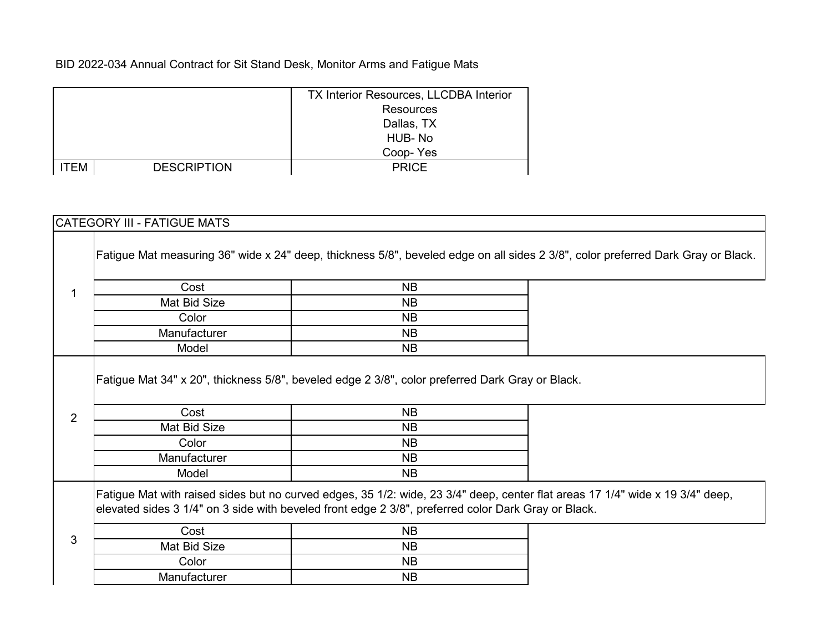|      |                    | <b>TX Interior Resources, LLCDBA Interior</b> |
|------|--------------------|-----------------------------------------------|
|      |                    | <b>Resources</b>                              |
|      |                    | Dallas, TX                                    |
|      |                    | HUB-No                                        |
|      |                    | Coop-Yes                                      |
| ITEM | <b>DESCRIPTION</b> | <b>PRICE</b>                                  |

## CATEGORY III - FATIGUE MATS

|                |                               |                                                                                                                                      | Fatigue Mat measuring 36" wide x 24" deep, thickness 5/8", beveled edge on all sides 2 3/8", color preferred Dark Gray or Black. |
|----------------|-------------------------------|--------------------------------------------------------------------------------------------------------------------------------------|----------------------------------------------------------------------------------------------------------------------------------|
|                | Cost                          | <b>NB</b>                                                                                                                            |                                                                                                                                  |
|                | Mat Bid Size                  | <b>NB</b>                                                                                                                            |                                                                                                                                  |
|                | Color                         | <b>NB</b>                                                                                                                            |                                                                                                                                  |
|                | Manufacturer                  | <b>NB</b>                                                                                                                            |                                                                                                                                  |
|                | Model                         | <b>NB</b>                                                                                                                            |                                                                                                                                  |
|                | Cost                          | <b>NB</b>                                                                                                                            |                                                                                                                                  |
| $\overline{2}$ |                               |                                                                                                                                      |                                                                                                                                  |
|                | Mat Bid Size                  | <b>NB</b>                                                                                                                            |                                                                                                                                  |
|                | Color                         | NB.                                                                                                                                  |                                                                                                                                  |
|                | Manufacturer<br>Model         | NB.<br><b>NB</b>                                                                                                                     |                                                                                                                                  |
| 3              | Cost<br>Mat Bid Size<br>Color | elevated sides 3 1/4" on 3 side with beveled front edge 2 3/8", preferred color Dark Gray or Black.<br><b>NB</b><br><b>NB</b><br>NB. | Fatigue Mat with raised sides but no curved edges, 35 1/2: wide, 23 3/4" deep, center flat areas 17 1/4" wide x 19 3/4" deep,    |
|                | Manufacturer                  | <b>NB</b>                                                                                                                            |                                                                                                                                  |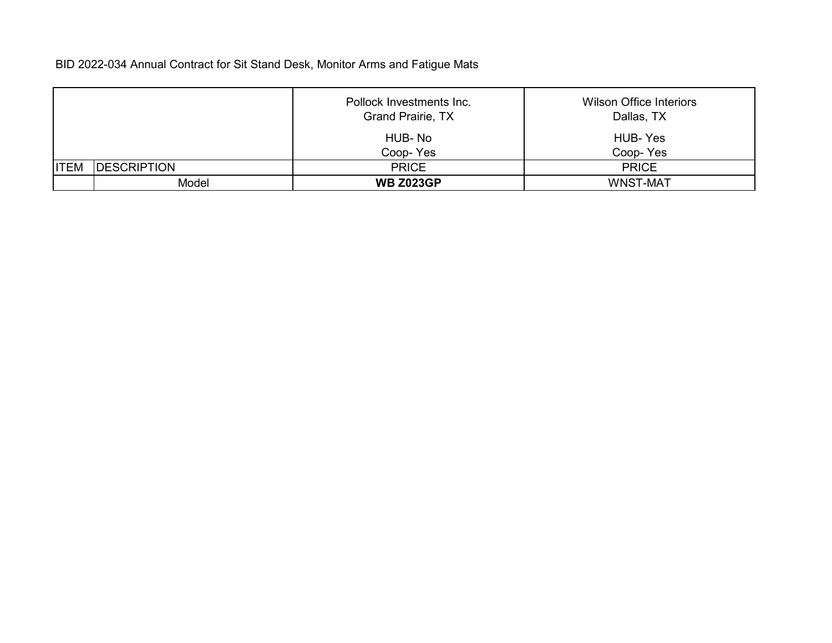|             |                     | Pollock Investments Inc.<br>Grand Prairie, TX | <b>Wilson Office Interiors</b><br>Dallas, TX |
|-------------|---------------------|-----------------------------------------------|----------------------------------------------|
|             |                     | HUB-No<br>Coop-Yes                            | HUB-Yes<br>Coop-Yes                          |
| <b>ITEM</b> | <b>IDESCRIPTION</b> | <b>PRICE</b>                                  | <b>PRICE</b>                                 |
|             | Model               | <b>WB Z023GP</b>                              | <b>WNST-MAT</b>                              |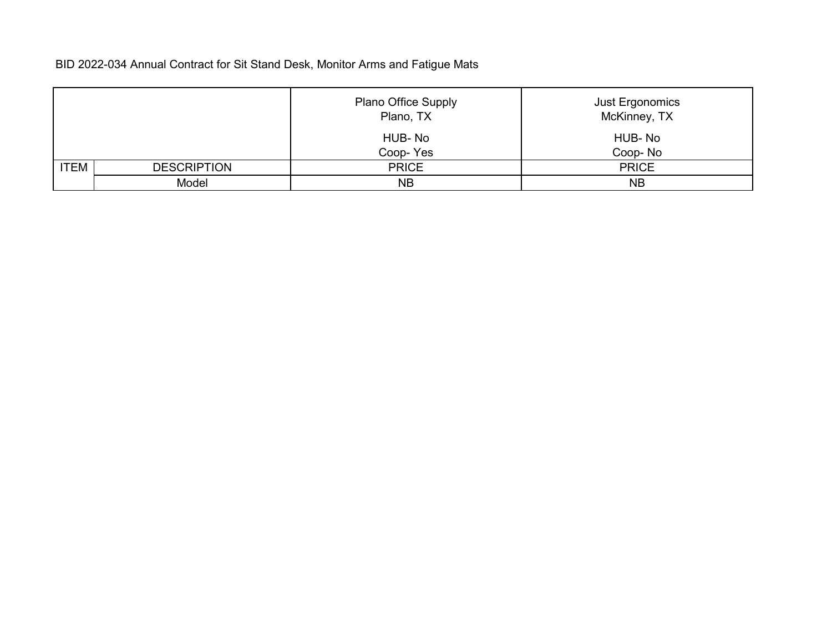|             |                    | <b>Plano Office Supply</b><br>Plano, TX | Just Ergonomics<br>McKinney, TX |
|-------------|--------------------|-----------------------------------------|---------------------------------|
|             |                    | HUB-No<br>Coop-Yes                      | HUB-No<br>Coop-No               |
| <b>ITEM</b> |                    |                                         |                                 |
|             | <b>DESCRIPTION</b> | <b>PRICE</b>                            | <b>PRICE</b>                    |
|             | Model              | <b>NB</b>                               | <b>NB</b>                       |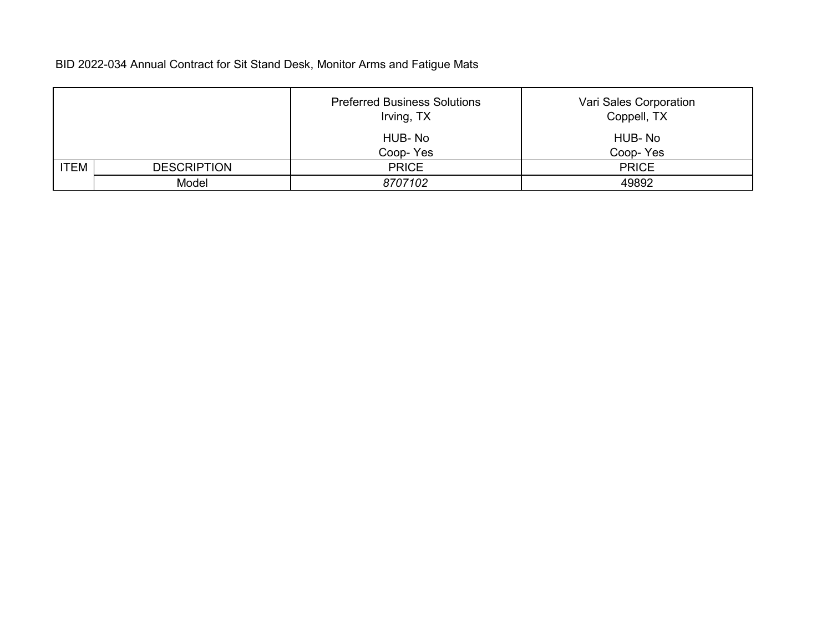|             |                    | <b>Preferred Business Solutions</b><br>Irving, TX | Vari Sales Corporation<br>Coppell, TX |
|-------------|--------------------|---------------------------------------------------|---------------------------------------|
|             |                    | HUB-No                                            | HUB-No                                |
|             |                    | Coop-Yes                                          | Coop-Yes                              |
| <b>ITEM</b> | <b>DESCRIPTION</b> | <b>PRICE</b>                                      | <b>PRICE</b>                          |
|             | Model              | 8707102                                           | 49892                                 |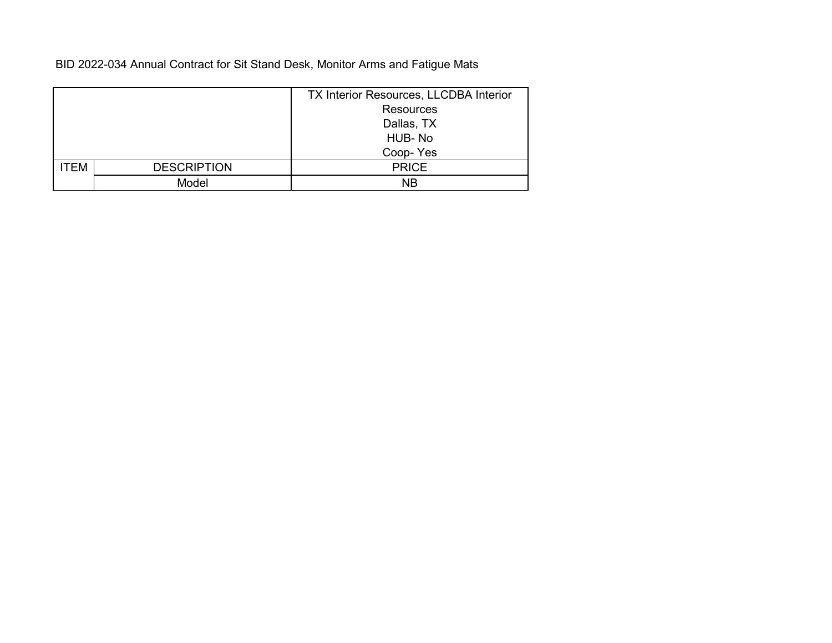|      |                    | TX Interior Resources, LLCDBA Interior |
|------|--------------------|----------------------------------------|
|      |                    | <b>Resources</b>                       |
|      |                    | Dallas, TX                             |
|      |                    | HUB-No                                 |
|      |                    | Coop-Yes                               |
| ITEM | <b>DESCRIPTION</b> | <b>PRICE</b>                           |
|      | Model              | N <sub>R</sub>                         |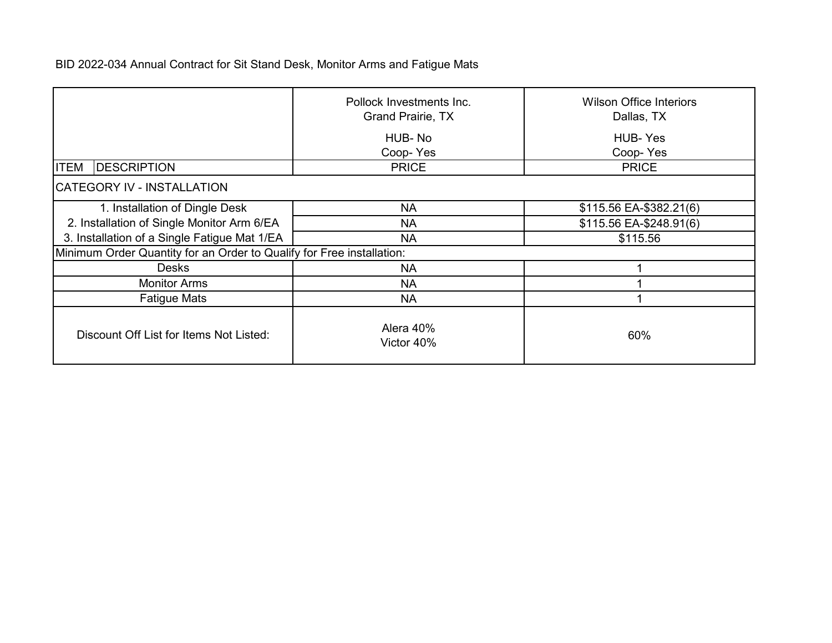|                                                                       | Pollock Investments Inc.<br><b>Grand Prairie, TX</b> | <b>Wilson Office Interiors</b><br>Dallas, TX |  |  |
|-----------------------------------------------------------------------|------------------------------------------------------|----------------------------------------------|--|--|
|                                                                       | HUB-No<br>Coop-Yes                                   | <b>HUB-Yes</b><br>Coop-Yes                   |  |  |
| <b>DESCRIPTION</b><br><b>ITEM</b>                                     | <b>PRICE</b>                                         | <b>PRICE</b>                                 |  |  |
| CATEGORY IV - INSTALLATION                                            |                                                      |                                              |  |  |
| 1. Installation of Dingle Desk                                        | <b>NA</b>                                            | \$115.56 EA-\$382.21(6)                      |  |  |
| 2. Installation of Single Monitor Arm 6/EA                            | <b>NA</b>                                            | \$115.56 EA-\$248.91(6)                      |  |  |
| 3. Installation of a Single Fatigue Mat 1/EA                          | <b>NA</b>                                            | \$115.56                                     |  |  |
| Minimum Order Quantity for an Order to Qualify for Free installation: |                                                      |                                              |  |  |
| <b>Desks</b>                                                          | <b>NA</b>                                            |                                              |  |  |
| <b>Monitor Arms</b>                                                   | <b>NA</b>                                            |                                              |  |  |
| <b>Fatigue Mats</b>                                                   | <b>NA</b>                                            |                                              |  |  |
| Discount Off List for Items Not Listed:                               | Alera 40%<br>Victor 40%                              | 60%                                          |  |  |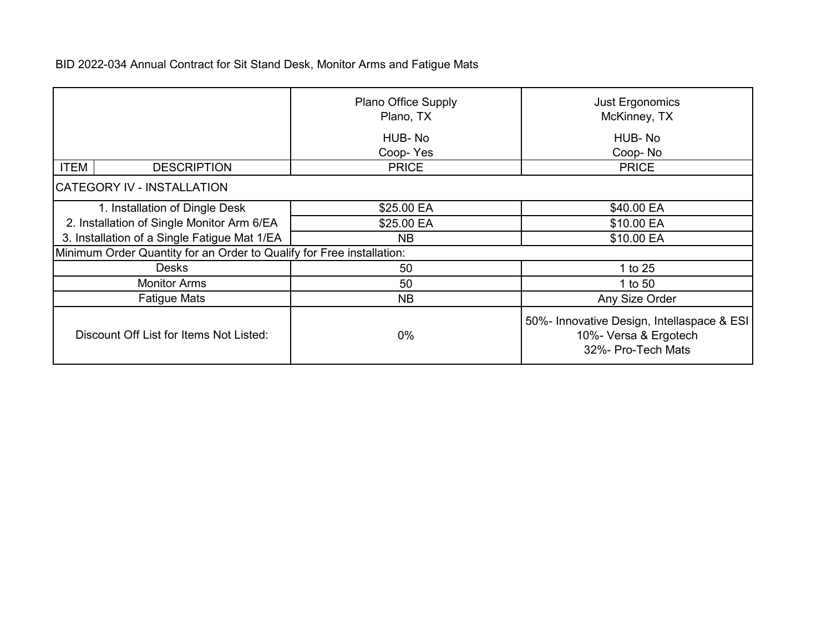|                                                                       | <b>Plano Office Supply</b><br>Plano, TX | Just Ergonomics<br>McKinney, TX                                                           |  |  |
|-----------------------------------------------------------------------|-----------------------------------------|-------------------------------------------------------------------------------------------|--|--|
|                                                                       | HUB-No<br>Coop-Yes                      | HUB-No<br>Coop-No                                                                         |  |  |
| <b>ITEM</b><br><b>DESCRIPTION</b>                                     | <b>PRICE</b>                            | <b>PRICE</b>                                                                              |  |  |
| CATEGORY IV - INSTALLATION                                            |                                         |                                                                                           |  |  |
| 1. Installation of Dingle Desk                                        | \$25.00 EA                              | \$40.00 EA                                                                                |  |  |
| 2. Installation of Single Monitor Arm 6/EA                            | \$25.00 EA                              | \$10.00 EA                                                                                |  |  |
| 3. Installation of a Single Fatigue Mat 1/EA                          | NB                                      | \$10.00 EA                                                                                |  |  |
| Minimum Order Quantity for an Order to Qualify for Free installation: |                                         |                                                                                           |  |  |
| <b>Desks</b>                                                          | 50                                      | 1 to 25                                                                                   |  |  |
| <b>Monitor Arms</b>                                                   | 50                                      | 1 to 50                                                                                   |  |  |
| <b>Fatigue Mats</b>                                                   | <b>NB</b>                               | Any Size Order                                                                            |  |  |
| Discount Off List for Items Not Listed:                               | $0\%$                                   | 50%- Innovative Design, Intellaspace & ESI<br>10%- Versa & Ergotech<br>32%- Pro-Tech Mats |  |  |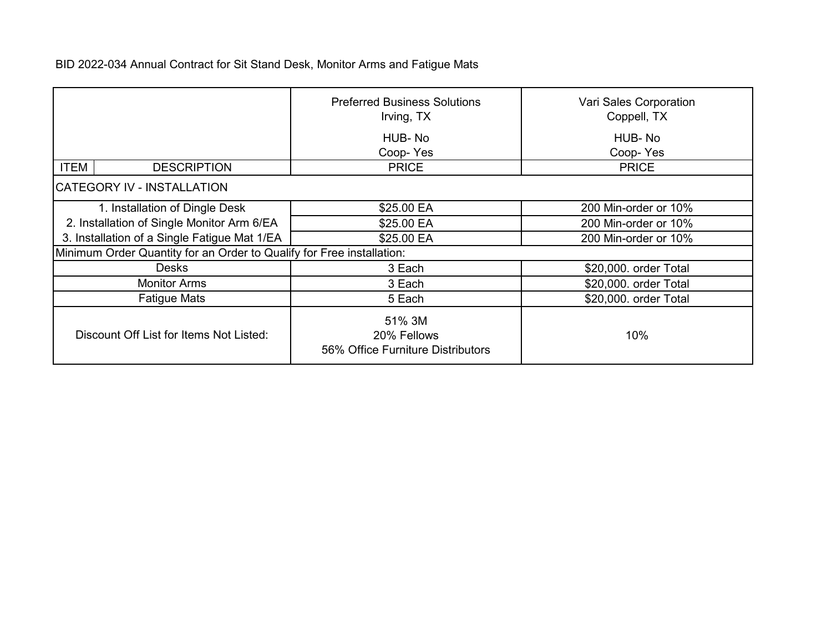|                                                                       | <b>Preferred Business Solutions</b><br>Irving, TX          | Vari Sales Corporation<br>Coppell, TX |  |  |
|-----------------------------------------------------------------------|------------------------------------------------------------|---------------------------------------|--|--|
|                                                                       | HUB-No<br>Coop-Yes                                         | HUB-No<br>Coop-Yes                    |  |  |
| <b>ITEM</b><br><b>DESCRIPTION</b>                                     | <b>PRICE</b>                                               | <b>PRICE</b>                          |  |  |
| CATEGORY IV - INSTALLATION                                            |                                                            |                                       |  |  |
| 1. Installation of Dingle Desk                                        | \$25.00 EA                                                 | 200 Min-order or 10%                  |  |  |
| 2. Installation of Single Monitor Arm 6/EA                            | \$25.00 EA                                                 | 200 Min-order or 10%                  |  |  |
| 3. Installation of a Single Fatigue Mat 1/EA                          | \$25.00 EA                                                 | 200 Min-order or 10%                  |  |  |
| Minimum Order Quantity for an Order to Qualify for Free installation: |                                                            |                                       |  |  |
| Desks                                                                 | 3 Each                                                     | \$20,000. order Total                 |  |  |
| <b>Monitor Arms</b>                                                   | 3 Each                                                     | \$20,000. order Total                 |  |  |
| <b>Fatigue Mats</b>                                                   | 5 Each                                                     | \$20,000. order Total                 |  |  |
| Discount Off List for Items Not Listed:                               | 51% 3M<br>20% Fellows<br>56% Office Furniture Distributors | 10%                                   |  |  |